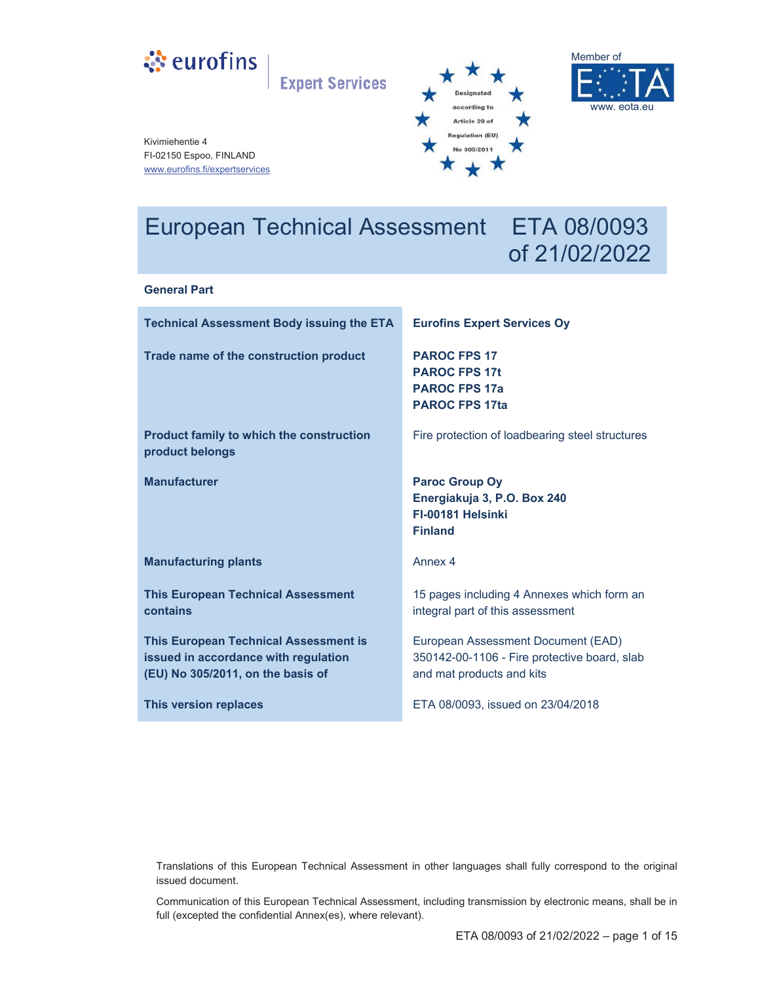

**Expert Services** 





Kivimiehentie 4 FI-02150 Espoo, FINLAND www.eurofins.fi/expertservices

# European Technical Assessment ETA 08/0093 of 21/02/2022

#### **General Part**

| <b>Technical Assessment Body issuing the ETA</b>                                                                          | <b>Eurofins Expert Services Oy</b>                                                                              |
|---------------------------------------------------------------------------------------------------------------------------|-----------------------------------------------------------------------------------------------------------------|
| Trade name of the construction product                                                                                    | <b>PAROC FPS 17</b><br><b>PAROC FPS 17t</b><br><b>PAROC FPS 17a</b><br><b>PAROC FPS 17ta</b>                    |
| <b>Product family to which the construction</b><br>product belongs                                                        | Fire protection of loadbearing steel structures                                                                 |
| <b>Manufacturer</b>                                                                                                       | <b>Paroc Group Oy</b><br>Energiakuja 3, P.O. Box 240<br>FI-00181 Helsinki<br><b>Finland</b>                     |
| <b>Manufacturing plants</b>                                                                                               | Annex 4                                                                                                         |
| <b>This European Technical Assessment</b><br>contains                                                                     | 15 pages including 4 Annexes which form an<br>integral part of this assessment                                  |
| <b>This European Technical Assessment is</b><br>issued in accordance with regulation<br>(EU) No 305/2011, on the basis of | European Assessment Document (EAD)<br>350142-00-1106 - Fire protective board, slab<br>and mat products and kits |
|                                                                                                                           |                                                                                                                 |

Translations of this European Technical Assessment in other languages shall fully correspond to the original issued document.

Communication of this European Technical Assessment, including transmission by electronic means, shall be in full (excepted the confidential Annex(es), where relevant).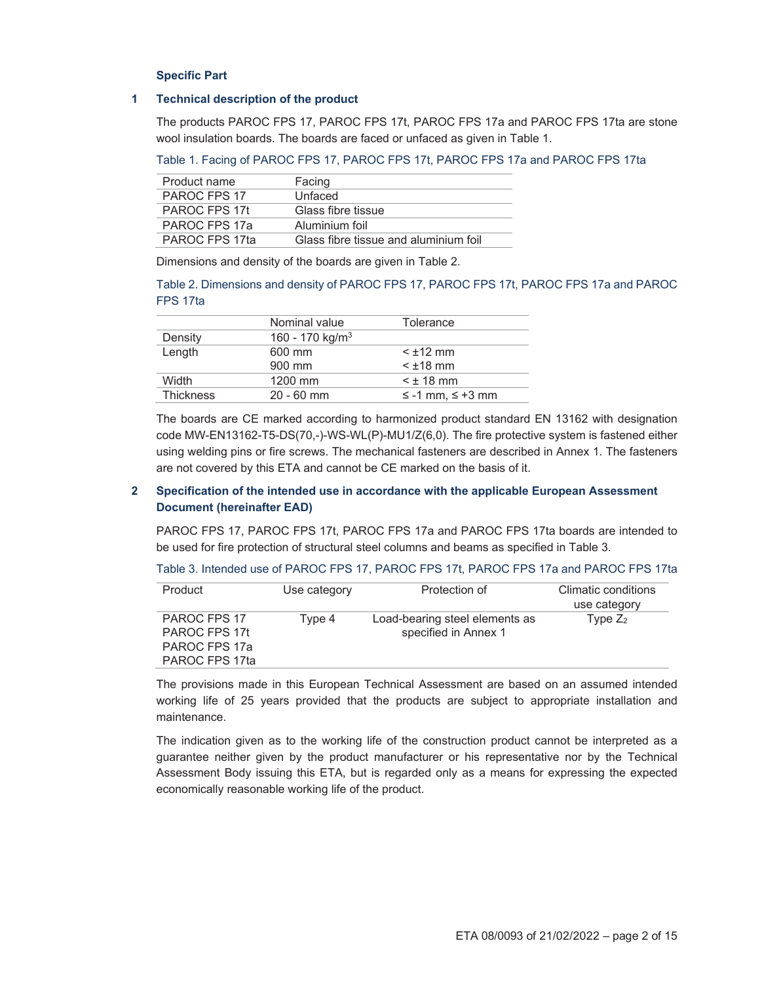#### **Specific Part**

#### **1 Technical description of the product**

The products PAROC FPS 17, PAROC FPS 17t, PAROC FPS 17a and PAROC FPS 17ta are stone wool insulation boards. The boards are faced or unfaced as given in Table 1.

Table 1. Facing of PAROC FPS 17, PAROC FPS 17t, PAROC FPS 17a and PAROC FPS 17ta

| Product name   | Facing                                |
|----------------|---------------------------------------|
| PAROC FPS 17   | Unfaced                               |
| PAROC FPS 17t  | Glass fibre tissue                    |
| PAROC FPS 17a  | Aluminium foil                        |
| PAROC FPS 17ta | Glass fibre tissue and aluminium foil |

Dimensions and density of the boards are given in Table 2.

Table 2. Dimensions and density of PAROC FPS 17, PAROC FPS 17t, PAROC FPS 17a and PAROC FPS 17ta

|                  | Nominal value               | Tolerance            |
|------------------|-----------------------------|----------------------|
| Density          | 160 - 170 kg/m <sup>3</sup> |                      |
| Length           | 600 mm                      | $<$ $\pm$ 12 mm      |
|                  | 900 mm                      | $<$ $\pm$ 18 mm      |
| Width            | 1200 mm                     | $<$ $\pm$ 18 mm      |
| <b>Thickness</b> | $20 - 60$ mm                | $≤$ -1 mm, $≤$ +3 mm |

The boards are CE marked according to harmonized product standard EN 13162 with designation code MW-EN13162-T5-DS(70,-)-WS-WL(P)-MU1/Z(6,0). The fire protective system is fastened either using welding pins or fire screws. The mechanical fasteners are described in Annex 1. The fasteners are not covered by this ETA and cannot be CE marked on the basis of it.

## **2 Specification of the intended use in accordance with the applicable European Assessment Document (hereinafter EAD)**

PAROC FPS 17, PAROC FPS 17t, PAROC FPS 17a and PAROC FPS 17ta boards are intended to be used for fire protection of structural steel columns and beams as specified in Table 3.

Table 3. Intended use of PAROC FPS 17, PAROC FPS 17t, PAROC FPS 17a and PAROC FPS 17ta

| Product        | Use category | Protection of                  | Climatic conditions |
|----------------|--------------|--------------------------------|---------------------|
|                |              |                                | use category        |
| PAROC FPS 17   | Type 4       | Load-bearing steel elements as | Type $Z_2$          |
| PAROC FPS 17t  |              | specified in Annex 1           |                     |
| PAROC FPS 17a  |              |                                |                     |
| PAROC FPS 17ta |              |                                |                     |

The provisions made in this European Technical Assessment are based on an assumed intended working life of 25 years provided that the products are subject to appropriate installation and maintenance.

The indication given as to the working life of the construction product cannot be interpreted as a guarantee neither given by the product manufacturer or his representative nor by the Technical Assessment Body issuing this ETA, but is regarded only as a means for expressing the expected economically reasonable working life of the product.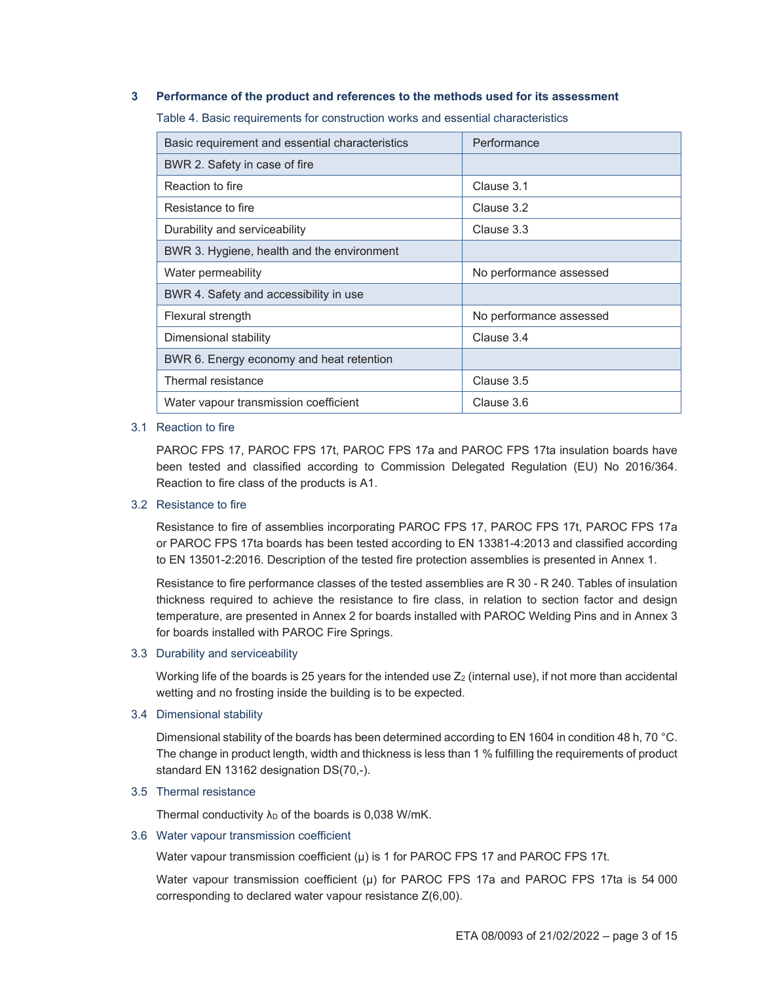#### **3 Performance of the product and references to the methods used for its assessment**

Table 4. Basic requirements for construction works and essential characteristics

| Basic requirement and essential characteristics | Performance             |
|-------------------------------------------------|-------------------------|
| BWR 2. Safety in case of fire                   |                         |
| Reaction to fire                                | Clause 3.1              |
| Resistance to fire                              | Clause 3.2              |
| Durability and serviceability                   | Clause 3.3              |
| BWR 3. Hygiene, health and the environment      |                         |
| Water permeability                              | No performance assessed |
| BWR 4. Safety and accessibility in use          |                         |
| Flexural strength                               | No performance assessed |
| Dimensional stability                           | Clause 3.4              |
| BWR 6. Energy economy and heat retention        |                         |
| Thermal resistance                              | Clause 3.5              |
| Water vapour transmission coefficient           | Clause 3.6              |

#### 3.1 Reaction to fire

PAROC FPS 17, PAROC FPS 17t, PAROC FPS 17a and PAROC FPS 17ta insulation boards have been tested and classified according to Commission Delegated Regulation (EU) No 2016/364. Reaction to fire class of the products is A1.

#### 3.2 Resistance to fire

Resistance to fire of assemblies incorporating PAROC FPS 17, PAROC FPS 17t, PAROC FPS 17a or PAROC FPS 17ta boards has been tested according to EN 13381-4:2013 and classified according to EN 13501-2:2016. Description of the tested fire protection assemblies is presented in Annex 1.

Resistance to fire performance classes of the tested assemblies are R 30 - R 240. Tables of insulation thickness required to achieve the resistance to fire class, in relation to section factor and design temperature, are presented in Annex 2 for boards installed with PAROC Welding Pins and in Annex 3 for boards installed with PAROC Fire Springs.

3.3 Durability and serviceability

Working life of the boards is 25 years for the intended use  $Z_2$  (internal use), if not more than accidental wetting and no frosting inside the building is to be expected.

3.4 Dimensional stability

Dimensional stability of the boards has been determined according to EN 1604 in condition 48 h, 70 °C. The change in product length, width and thickness is less than 1 % fulfilling the requirements of product standard EN 13162 designation DS(70,-).

## 3.5 Thermal resistance

Thermal conductivity  $\lambda_D$  of the boards is 0,038 W/mK.

#### 3.6 Water vapour transmission coefficient

Water vapour transmission coefficient  $(\mu)$  is 1 for PAROC FPS 17 and PAROC FPS 17t.

Water vapour transmission coefficient (μ) for PAROC FPS 17a and PAROC FPS 17ta is 54 000 corresponding to declared water vapour resistance Z(6,00).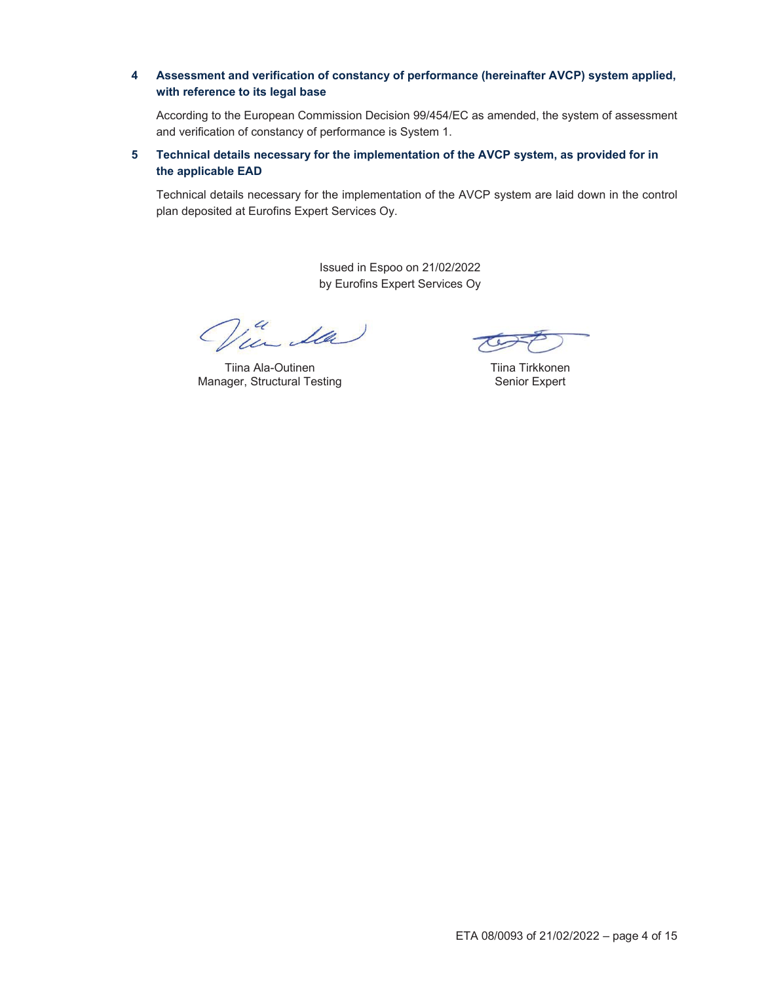## **4 Assessment and verification of constancy of performance (hereinafter AVCP) system applied, with reference to its legal base**

According to the European Commission Decision 99/454/EC as amended, the system of assessment and verification of constancy of performance is System 1.

## **5 Technical details necessary for the implementation of the AVCP system, as provided for in the applicable EAD**

Technical details necessary for the implementation of the AVCP system are laid down in the control plan deposited at Eurofins Expert Services Oy.

> Issued in Espoo on 21/02/2022 by Eurofins Expert Services Oy

in da

Tiina Ala-Outinen Manager, Structural Testing

Tiina Tirkkonen Senior Expert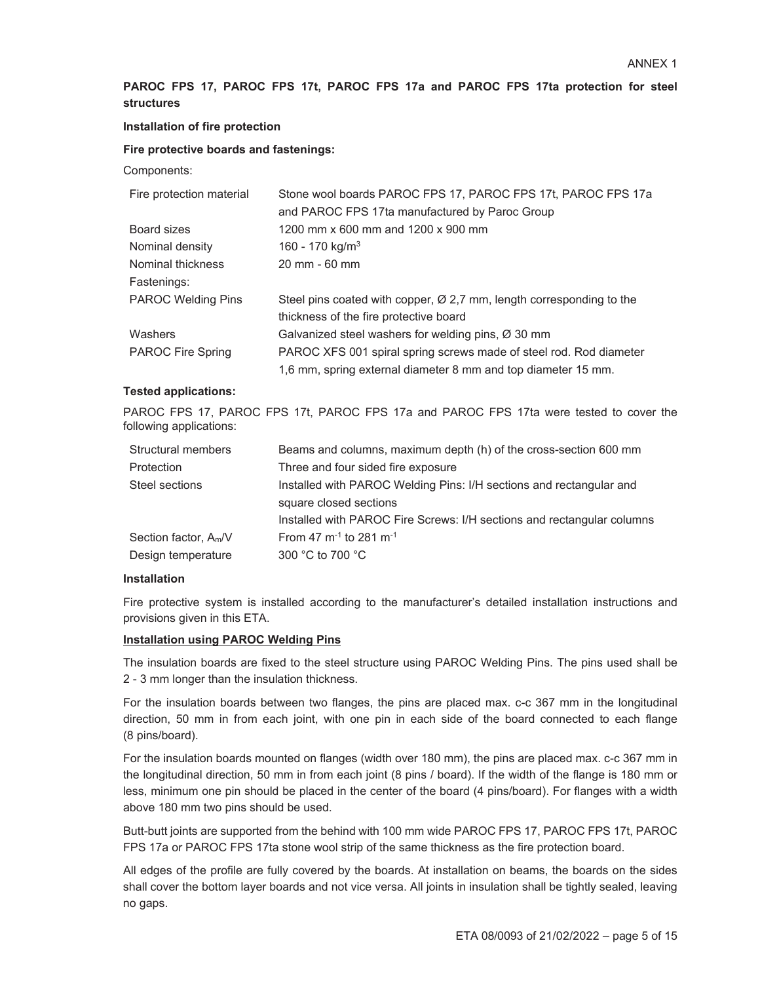# **PAROC FPS 17, PAROC FPS 17t, PAROC FPS 17a and PAROC FPS 17ta protection for steel structures**

## **Installation of fire protection**

## **Fire protective boards and fastenings:**

Components:

| Fire protection material  | Stone wool boards PAROC FPS 17, PAROC FPS 17t, PAROC FPS 17a                     |
|---------------------------|----------------------------------------------------------------------------------|
|                           | and PAROC FPS 17ta manufactured by Paroc Group                                   |
| Board sizes               | 1200 mm x 600 mm and 1200 x 900 mm                                               |
| Nominal density           | 160 - 170 kg/m <sup>3</sup>                                                      |
| Nominal thickness         | 20 mm - 60 mm                                                                    |
| Fastenings:               |                                                                                  |
| <b>PAROC Welding Pins</b> | Steel pins coated with copper, $\varnothing$ 2,7 mm, length corresponding to the |
|                           | thickness of the fire protective board                                           |
| Washers                   | Galvanized steel washers for welding pins, $\varnothing$ 30 mm                   |
| <b>PAROC Fire Spring</b>  | PAROC XFS 001 spiral spring screws made of steel rod. Rod diameter               |
|                           | 1,6 mm, spring external diameter 8 mm and top diameter 15 mm.                    |

#### **Tested applications:**

PAROC FPS 17, PAROC FPS 17t, PAROC FPS 17a and PAROC FPS 17ta were tested to cover the following applications:

| Structural members                | Beams and columns, maximum depth (h) of the cross-section 600 mm       |
|-----------------------------------|------------------------------------------------------------------------|
| Protection                        | Three and four sided fire exposure                                     |
| Steel sections                    | Installed with PAROC Welding Pins: I/H sections and rectangular and    |
|                                   | square closed sections                                                 |
|                                   | Installed with PAROC Fire Screws: I/H sections and rectangular columns |
| Section factor, A <sub>m</sub> /V | From 47 $m^{-1}$ to 281 $m^{-1}$                                       |
| Design temperature                | 300 °C to 700 °C                                                       |

## **Installation**

Fire protective system is installed according to the manufacturer's detailed installation instructions and provisions given in this ETA.

## **Installation using PAROC Welding Pins**

The insulation boards are fixed to the steel structure using PAROC Welding Pins. The pins used shall be 2 - 3 mm longer than the insulation thickness.

For the insulation boards between two flanges, the pins are placed max. c-c 367 mm in the longitudinal direction, 50 mm in from each joint, with one pin in each side of the board connected to each flange (8 pins/board).

For the insulation boards mounted on flanges (width over 180 mm), the pins are placed max. c-c 367 mm in the longitudinal direction, 50 mm in from each joint (8 pins / board). If the width of the flange is 180 mm or less, minimum one pin should be placed in the center of the board (4 pins/board). For flanges with a width above 180 mm two pins should be used.

Butt-butt joints are supported from the behind with 100 mm wide PAROC FPS 17, PAROC FPS 17t, PAROC FPS 17a or PAROC FPS 17ta stone wool strip of the same thickness as the fire protection board.

All edges of the profile are fully covered by the boards. At installation on beams, the boards on the sides shall cover the bottom layer boards and not vice versa. All joints in insulation shall be tightly sealed, leaving no gaps.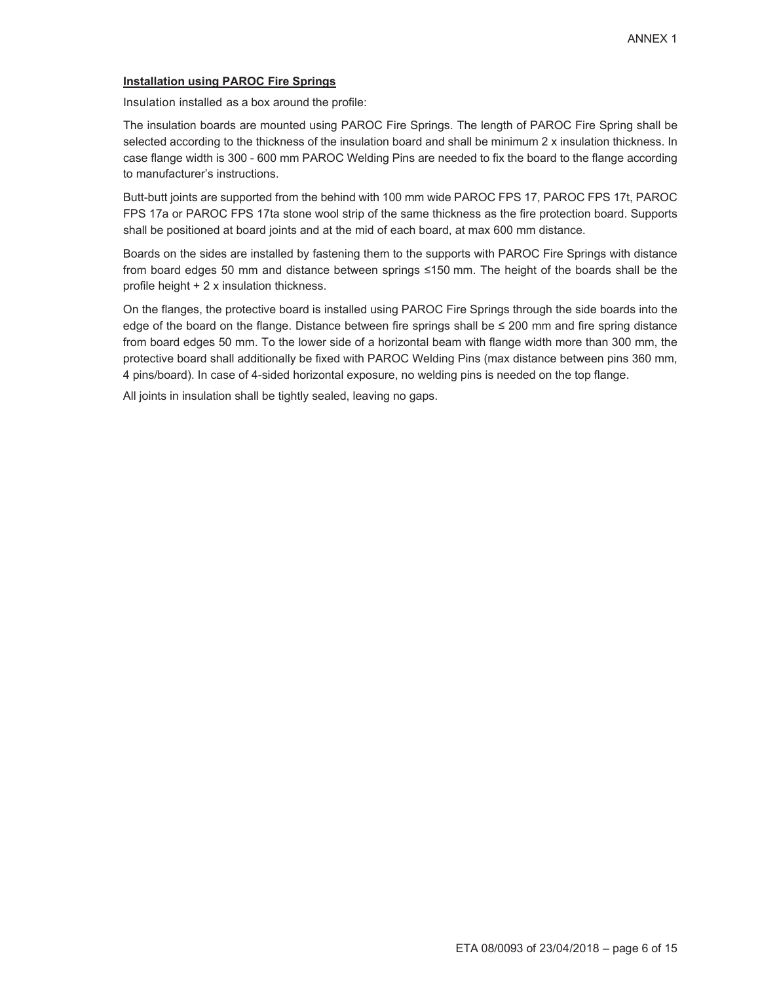## **Installation using PAROC Fire Springs**

Insulation installed as a box around the profile:

The insulation boards are mounted using PAROC Fire Springs. The length of PAROC Fire Spring shall be selected according to the thickness of the insulation board and shall be minimum 2 x insulation thickness. In case flange width is 300 - 600 mm PAROC Welding Pins are needed to fix the board to the flange according to manufacturer's instructions.

Butt-butt joints are supported from the behind with 100 mm wide PAROC FPS 17, PAROC FPS 17t, PAROC FPS 17a or PAROC FPS 17ta stone wool strip of the same thickness as the fire protection board. Supports shall be positioned at board joints and at the mid of each board, at max 600 mm distance.

Boards on the sides are installed by fastening them to the supports with PAROC Fire Springs with distance from board edges 50 mm and distance between springs  $\leq$ 150 mm. The height of the boards shall be the profile height  $+2x$  insulation thickness.

On the flanges, the protective board is installed using PAROC Fire Springs through the side boards into the edge of the board on the flange. Distance between fire springs shall be  $\leq$  200 mm and fire spring distance from board edges 50 mm. To the lower side of a horizontal beam with flange width more than 300 mm, the protective board shall additionally be fixed with PAROC Welding Pins (max distance between pins 360 mm, 4 pins/board). In case of 4-sided horizontal exposure, no welding pins is needed on the top flange.

All joints in insulation shall be tightly sealed, leaving no gaps.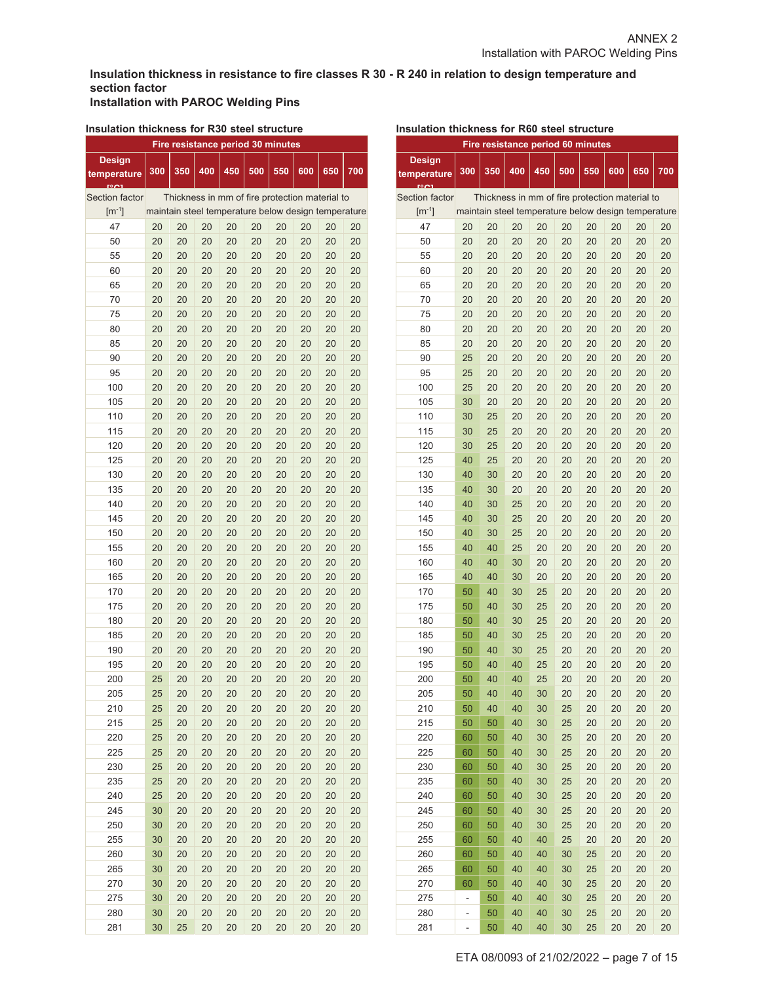## **Insulation thickness in resistance to fire classes R 30 - R 240 in relation to design temperature and section factor Installation with PAROC Welding Pins**

#### **Insulation thickness for R30 steel structure**

| Fire resistance period 30 minutes |     |     |     |                                                     |     |     |     |     |     |
|-----------------------------------|-----|-----|-----|-----------------------------------------------------|-----|-----|-----|-----|-----|
| <b>Design</b>                     |     |     |     |                                                     |     |     |     |     |     |
| temperature                       | 300 | 350 | 400 | 450                                                 | 500 | 550 | 600 | 650 | 700 |
|                                   |     |     |     |                                                     |     |     |     |     |     |
| Section factor                    |     |     |     | Thickness in mm of fire protection material to      |     |     |     |     |     |
| $[m^{-1}]$                        |     |     |     | maintain steel temperature below design temperature |     |     |     |     |     |
| 47                                | 20  | 20  | 20  | 20                                                  | 20  | 20  | 20  | 20  | 20  |
| 50                                | 20  | 20  | 20  | 20                                                  | 20  | 20  | 20  | 20  | 20  |
| 55                                | 20  | 20  | 20  | 20                                                  | 20  | 20  | 20  | 20  | 20  |
| 60                                | 20  | 20  | 20  | 20                                                  | 20  | 20  | 20  | 20  | 20  |
| 65                                | 20  | 20  | 20  | 20                                                  | 20  | 20  | 20  | 20  | 20  |
| 70                                | 20  | 20  | 20  | 20                                                  | 20  | 20  | 20  | 20  | 20  |
| 75                                | 20  | 20  | 20  | 20                                                  | 20  | 20  | 20  | 20  | 20  |
| 80                                | 20  | 20  | 20  | 20                                                  | 20  | 20  | 20  | 20  | 20  |
| 85                                | 20  | 20  | 20  | 20                                                  | 20  | 20  | 20  | 20  | 20  |
| 90                                | 20  | 20  | 20  | 20                                                  | 20  | 20  | 20  | 20  | 20  |
| 95                                | 20  | 20  | 20  | 20                                                  | 20  | 20  | 20  | 20  | 20  |
| 100                               | 20  | 20  | 20  | 20                                                  | 20  | 20  | 20  | 20  | 20  |
| 105                               | 20  | 20  | 20  | 20                                                  | 20  | 20  | 20  | 20  | 20  |
| 110                               | 20  | 20  | 20  | 20                                                  | 20  | 20  | 20  | 20  | 20  |
| 115                               | 20  | 20  | 20  | 20                                                  | 20  | 20  | 20  | 20  | 20  |
| 120                               | 20  | 20  | 20  | 20                                                  | 20  | 20  | 20  | 20  | 20  |
| 125                               | 20  | 20  | 20  | 20                                                  | 20  | 20  | 20  | 20  | 20  |
| 130                               | 20  | 20  | 20  | 20                                                  | 20  | 20  | 20  | 20  | 20  |
| 135                               | 20  | 20  | 20  | 20                                                  | 20  | 20  | 20  | 20  | 20  |
| 140                               | 20  | 20  | 20  | 20                                                  | 20  | 20  | 20  | 20  | 20  |
| 145                               | 20  | 20  | 20  | 20                                                  | 20  | 20  | 20  | 20  | 20  |
| 150                               | 20  | 20  | 20  | 20                                                  | 20  | 20  | 20  | 20  | 20  |
| 155                               | 20  | 20  | 20  | 20                                                  | 20  | 20  | 20  | 20  | 20  |
| 160                               | 20  | 20  | 20  | 20                                                  | 20  | 20  | 20  | 20  | 20  |
| 165                               | 20  | 20  | 20  | 20                                                  | 20  | 20  | 20  | 20  | 20  |
| 170                               | 20  | 20  | 20  | 20                                                  | 20  | 20  | 20  | 20  | 20  |
| 175                               | 20  | 20  | 20  | 20                                                  | 20  | 20  | 20  | 20  | 20  |
| 180                               | 20  | 20  | 20  | 20                                                  | 20  | 20  | 20  | 20  | 20  |
| 185                               | 20  | 20  | 20  | 20                                                  | 20  | 20  | 20  | 20  | 20  |
| 190                               | 20  | 20  | 20  | 20                                                  | 20  | 20  | 20  | 20  | 20  |
| 195                               | 20  | 20  | 20  | 20                                                  | 20  | 20  | 20  | 20  | 20  |
| 200                               | 25  | 20  | 20  | 20                                                  | 20  | 20  | 20  | 20  | 20  |
| 205                               | 25  | 20  | 20  | 20                                                  | 20  | 20  | 20  | 20  | 20  |
| 210                               | 25  | 20  | 20  | 20                                                  | 20  | 20  | 20  | 20  | 20  |
|                                   | 25  |     |     |                                                     | 20  |     |     |     | 20  |
| 215<br>220                        |     | 20  | 20  | 20                                                  |     | 20  | 20  | 20  |     |
|                                   | 25  | 20  | 20  | 20                                                  | 20  | 20  | 20  | 20  | 20  |
| 225                               | 25  | 20  | 20  | 20                                                  | 20  | 20  | 20  | 20  | 20  |
| 230                               | 25  | 20  | 20  | 20                                                  | 20  | 20  | 20  | 20  | 20  |
| 235                               | 25  | 20  | 20  | 20                                                  | 20  | 20  | 20  | 20  | 20  |
| 240                               | 25  | 20  | 20  | 20                                                  | 20  | 20  | 20  | 20  | 20  |
| 245                               | 30  | 20  | 20  | 20                                                  | 20  | 20  | 20  | 20  | 20  |
| 250                               | 30  | 20  | 20  | 20                                                  | 20  | 20  | 20  | 20  | 20  |
| 255                               | 30  | 20  | 20  | 20                                                  | 20  | 20  | 20  | 20  | 20  |
| 260                               | 30  | 20  | 20  | 20                                                  | 20  | 20  | 20  | 20  | 20  |
| 265                               | 30  | 20  | 20  | 20                                                  | 20  | 20  | 20  | 20  | 20  |
| 270                               | 30  | 20  | 20  | 20                                                  | 20  | 20  | 20  | 20  | 20  |
| 275                               | 30  | 20  | 20  | 20                                                  | 20  | 20  | 20  | 20  | 20  |
| 280                               | 30  | 20  | 20  | 20                                                  | 20  | 20  | 20  | 20  | 20  |
| 281                               | 30  | 25  | 20  | 20                                                  | 20  | 20  | 20  | 20  | 20  |

| Fire resistance period 60 minutes                                 |     |     |     |                                                     |     |     |     |     |     |
|-------------------------------------------------------------------|-----|-----|-----|-----------------------------------------------------|-----|-----|-----|-----|-----|
| <b>Design</b><br>temperature<br>$r$ <sup>o</sup> $r$ <sup>1</sup> | 300 | 350 | 400 | 450                                                 | 500 | 550 | 600 | 650 | 700 |
| Section factor                                                    |     |     |     | Thickness in mm of fire protection material to      |     |     |     |     |     |
| $\lceil m^{-1} \rceil$                                            |     |     |     | maintain steel temperature below design temperature |     |     |     |     |     |
| 47                                                                | 20  | 20  | 20  | 20                                                  | 20  | 20  | 20  | 20  | 20  |
| 50                                                                | 20  | 20  | 20  | 20                                                  | 20  | 20  | 20  | 20  | 20  |
| 55                                                                | 20  | 20  | 20  | 20                                                  | 20  | 20  | 20  | 20  | 20  |
| 60                                                                | 20  | 20  | 20  | 20                                                  | 20  | 20  | 20  | 20  | 20  |
| 65                                                                | 20  | 20  | 20  | 20                                                  | 20  | 20  | 20  | 20  | 20  |
| 70                                                                | 20  | 20  | 20  | 20                                                  | 20  | 20  | 20  | 20  | 20  |
| 75                                                                | 20  | 20  | 20  | 20                                                  | 20  | 20  | 20  | 20  | 20  |
| 80                                                                | 20  | 20  | 20  | 20                                                  | 20  | 20  | 20  | 20  | 20  |
| 85                                                                | 20  | 20  | 20  | 20                                                  | 20  | 20  | 20  | 20  | 20  |
| 90                                                                | 25  | 20  | 20  | 20                                                  | 20  | 20  | 20  | 20  | 20  |
| 95                                                                | 25  | 20  | 20  | 20                                                  | 20  | 20  | 20  | 20  | 20  |
| 100                                                               | 25  | 20  | 20  | 20                                                  | 20  | 20  | 20  | 20  | 20  |
| 105                                                               | 30  | 20  | 20  | 20                                                  | 20  | 20  | 20  | 20  | 20  |
| 110                                                               | 30  | 25  | 20  | 20                                                  | 20  | 20  | 20  | 20  | 20  |
| 115                                                               | 30  | 25  | 20  | 20                                                  | 20  | 20  | 20  | 20  | 20  |
| 120                                                               | 30  | 25  | 20  | 20                                                  | 20  | 20  | 20  | 20  | 20  |
| 125                                                               | 40  | 25  | 20  | 20                                                  | 20  | 20  | 20  | 20  | 20  |
| 130                                                               | 40  | 30  | 20  | 20                                                  | 20  | 20  | 20  | 20  | 20  |
| 135                                                               | 40  | 30  | 20  | 20                                                  | 20  | 20  | 20  | 20  | 20  |
| 140                                                               | 40  | 30  | 25  | 20                                                  | 20  | 20  | 20  | 20  | 20  |
| 145                                                               | 40  | 30  | 25  | 20                                                  | 20  | 20  | 20  | 20  | 20  |
| 150                                                               | 40  | 30  | 25  | 20                                                  | 20  | 20  | 20  | 20  | 20  |
| 155                                                               | 40  | 40  | 25  | 20                                                  | 20  | 20  | 20  | 20  | 20  |
| 160                                                               | 40  | 40  | 30  | 20                                                  | 20  | 20  | 20  | 20  | 20  |
| 165                                                               | 40  | 40  | 30  | 20                                                  | 20  | 20  | 20  | 20  | 20  |
| 170                                                               | 50  | 40  | 30  | 25                                                  | 20  | 20  | 20  | 20  | 20  |
| 175                                                               | 50  | 40  | 30  | 25                                                  | 20  | 20  | 20  | 20  | 20  |
| 180                                                               | 50  | 40  | 30  | 25                                                  | 20  | 20  | 20  | 20  | 20  |
| 185                                                               | 50  | 40  | 30  | 25                                                  | 20  | 20  | 20  | 20  | 20  |
| 190                                                               | 50  | 40  | 30  | 25                                                  | 20  | 20  | 20  | 20  | 20  |
| 195                                                               | 50  | 40  | 40  | 25                                                  | 20  | 20  | 20  | 20  | 20  |
| 200                                                               | 50  | 40  | 40  | 25                                                  | 20  | 20  | 20  | 20  | 20  |
| 205                                                               | 50  | 40  | 40  | 30                                                  | 20  | 20  | 20  | 20  | 20  |
| 210                                                               | 50  | 40  | 40  | 30                                                  | 25  | 20  | 20  | 20  | 20  |
| 215                                                               | 50  | 50  | 40  | 30                                                  | 25  | 20  | 20  | 20  | 20  |
| 220                                                               | 60  | 50  | 40  | 30                                                  | 25  | 20  | 20  | 20  | 20  |
| 225                                                               | 60  | 50  | 40  | 30                                                  | 25  | 20  | 20  | 20  | 20  |
| 230                                                               | 60  | 50  | 40  | 30                                                  | 25  | 20  | 20  | 20  | 20  |
| 235                                                               | 60  | 50  | 40  | 30                                                  | 25  | 20  | 20  | 20  | 20  |
| 240                                                               | 60  | 50  | 40  | 30                                                  | 25  | 20  | 20  | 20  | 20  |
| 245                                                               | 60  | 50  | 40  | 30                                                  | 25  | 20  | 20  | 20  | 20  |
| 250                                                               | 60  | 50  | 40  | 30                                                  | 25  | 20  | 20  | 20  | 20  |
| 255                                                               | 60  | 50  | 40  | 40                                                  | 25  | 20  | 20  | 20  | 20  |
| 260                                                               | 60  | 50  | 40  | 40                                                  | 30  | 25  | 20  | 20  | 20  |
| 265                                                               | 60  | 50  | 40  | 40                                                  | 30  | 25  | 20  | 20  | 20  |
| 270                                                               | 60  | 50  | 40  | 40                                                  | 30  | 25  | 20  | 20  | 20  |
| 275                                                               | ÷,  | 50  | 40  | 40                                                  | 30  | 25  | 20  | 20  | 20  |
| 280                                                               | -   | 50  | 40  | 40                                                  | 30  | 25  | 20  | 20  | 20  |
| 281                                                               |     | 50  | 40  | 40                                                  | 30  | 25  | 20  | 20  | 20  |
|                                                                   |     |     |     |                                                     |     |     |     |     |     |

# **Insulation thickness for R60 steel structure**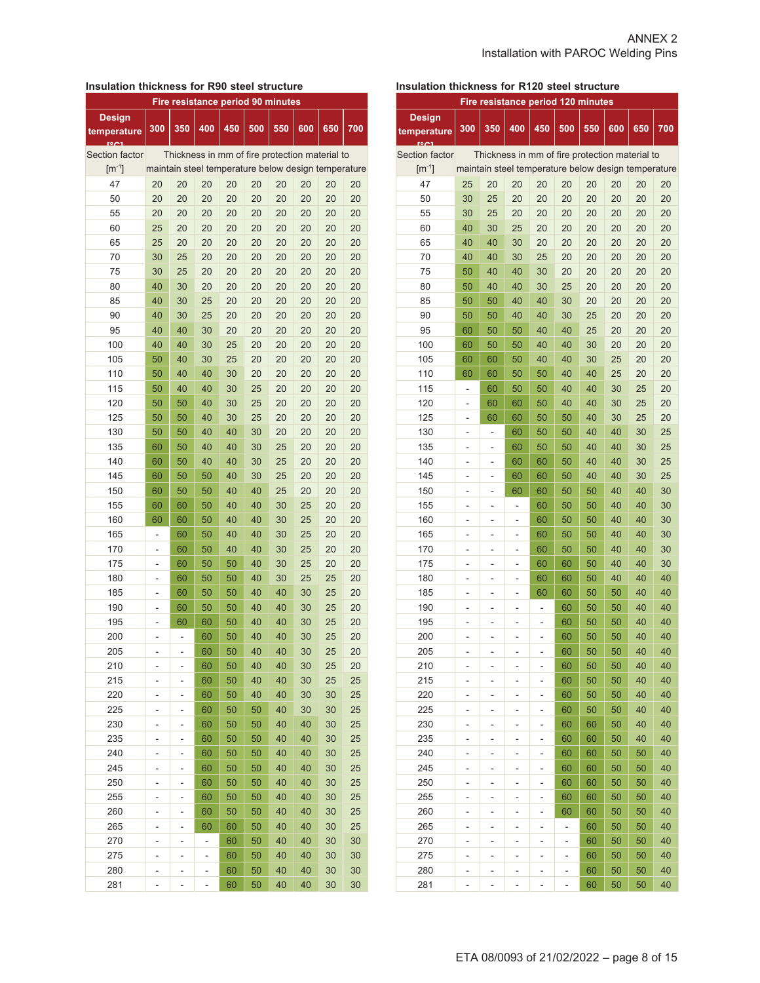## **Insulation thickness for R90 steel structure**

| Fire resistance period 90 minutes |                          |     |     |                                                     |     |     |     |     |     |
|-----------------------------------|--------------------------|-----|-----|-----------------------------------------------------|-----|-----|-----|-----|-----|
| <b>Design</b><br>temperature      | 300                      | 350 | 400 | 450                                                 | 500 | 550 | 600 | 650 | 700 |
| Section factor                    |                          |     |     | Thickness in mm of fire protection material to      |     |     |     |     |     |
| $\mathrm{[m^{-1}]}$               |                          |     |     | maintain steel temperature below design temperature |     |     |     |     |     |
| 47                                | 20                       | 20  | 20  | 20                                                  | 20  | 20  | 20  | 20  | 20  |
| 50                                | 20                       | 20  | 20  | 20                                                  | 20  | 20  | 20  | 20  | 20  |
| 55                                | 20                       | 20  | 20  | 20                                                  | 20  | 20  | 20  | 20  | 20  |
| 60                                | 25                       | 20  | 20  | 20                                                  | 20  | 20  | 20  | 20  | 20  |
| 65                                | 25                       | 20  | 20  | 20                                                  | 20  | 20  | 20  | 20  | 20  |
| 70                                | 30                       | 25  | 20  | 20                                                  | 20  | 20  | 20  | 20  | 20  |
| 75                                | 30                       | 25  | 20  | 20                                                  | 20  | 20  | 20  | 20  | 20  |
| 80                                | 40                       | 30  | 20  | 20                                                  | 20  | 20  | 20  | 20  | 20  |
| 85                                | 40                       | 30  | 25  | 20                                                  | 20  | 20  | 20  | 20  | 20  |
| 90                                | 40                       | 30  | 25  | 20                                                  | 20  | 20  | 20  | 20  | 20  |
| 95                                | 40                       | 40  | 30  | 20                                                  | 20  | 20  | 20  | 20  | 20  |
| 100                               | 40                       | 40  | 30  | 25                                                  | 20  | 20  | 20  | 20  | 20  |
| 105                               | 50                       | 40  | 30  | 25                                                  | 20  | 20  | 20  | 20  | 20  |
| 110                               | 50                       | 40  | 40  | 30                                                  | 20  | 20  | 20  | 20  | 20  |
| 115                               | 50                       | 40  | 40  | 30                                                  | 25  | 20  | 20  | 20  | 20  |
| 120                               | 50                       | 50  | 40  | 30                                                  | 25  | 20  | 20  | 20  | 20  |
| 125                               | 50                       | 50  | 40  | 30                                                  | 25  | 20  | 20  | 20  | 20  |
| 130                               | 50                       | 50  | 40  | 40                                                  | 30  | 20  | 20  | 20  | 20  |
| 135                               | 60                       | 50  | 40  | 40                                                  | 30  | 25  | 20  | 20  | 20  |
| 140                               | 60                       | 50  | 40  | 40                                                  | 30  | 25  | 20  | 20  | 20  |
| 145                               | 60                       | 50  | 50  | 40                                                  | 30  | 25  | 20  | 20  | 20  |
| 150                               | 60                       | 50  | 50  | 40                                                  | 40  | 25  | 20  | 20  | 20  |
| 155                               | 60                       | 60  | 50  | 40                                                  | 40  | 30  | 25  | 20  | 20  |
| 160                               | 60                       | 60  | 50  | 40                                                  | 40  | 30  | 25  | 20  | 20  |
| 165                               | -                        | 60  | 50  | 40                                                  | 40  | 30  | 25  | 20  | 20  |
| 170                               | $\overline{a}$           | 60  | 50  | 40                                                  | 40  | 30  | 25  | 20  | 20  |
| 175                               | $\overline{\phantom{0}}$ | 60  | 50  | 50                                                  | 40  | 30  | 25  | 20  | 20  |
| 180                               | ÷,                       | 60  | 50  | 50                                                  | 40  | 30  | 25  | 25  | 20  |
| 185                               | ÷,                       | 60  | 50  | 50                                                  | 40  | 40  | 30  | 25  | 20  |
| 190                               | ÷,                       | 60  | 50  | 50                                                  | 40  | 40  | 30  | 25  | 20  |
| 195                               | -                        | 60  | 60  | 50                                                  | 40  | 40  | 30  | 25  | 20  |
| 200                               |                          |     | 60  | 50                                                  | 40  | 40  | 30  | 25  | 20  |
| 205                               |                          |     | 60  | 50                                                  | 40  | 40  | 30  | 25  | 20  |
| 210                               | ۳                        |     | 60  | 50                                                  | 40  | 40  | 30  | 25  | 20  |
| 215                               | -                        |     | 60  | 50                                                  | 40  | 40  | 30  | 25  | 25  |
| 220                               | -                        |     | 60  | 50                                                  | 40  | 40  | 30  | 30  | 25  |
| 225                               | -                        |     | 60  | 50                                                  | 50  | 40  | 30  | 30  | 25  |
| 230                               | $\overline{a}$           |     | 60  | 50                                                  | 50  | 40  | 40  | 30  | 25  |
| 235                               | $\overline{\phantom{0}}$ |     | 60  | 50                                                  | 50  | 40  | 40  | 30  | 25  |
| 240                               | -                        | -   | 60  | 50                                                  | 50  | 40  | 40  | 30  | 25  |
| 245                               | $\overline{\phantom{0}}$ | -   | 60  | 50                                                  | 50  | 40  | 40  | 30  | 25  |
| 250                               | -                        | -   | 60  | 50                                                  | 50  | 40  | 40  | 30  | 25  |
| 255                               | -                        | -   | 60  | 50                                                  | 50  | 40  | 40  | 30  | 25  |
| 260                               | -                        | -   | 60  | 50                                                  | 50  | 40  | 40  | 30  | 25  |
| 265                               | -                        | -   | 60  | 60                                                  | 50  | 40  | 40  | 30  | 25  |
| 270                               | ۳                        | ۳   | -   | 60                                                  | 50  | 40  | 40  | 30  | 30  |
| 275                               | -                        | -   | ÷   | 60                                                  | 50  | 40  | 40  | 30  | 30  |
| 280                               | -                        | -   | -   | 60                                                  | 50  | 40  | 40  | 30  | 30  |
| 281                               | -                        | -   |     | 60                                                  | 50  | 40  | 40  | 30  | 30  |
|                                   |                          |     |     |                                                     |     |     |     |     |     |

## **Insulation thickness for R120 steel structure**

| Fire resistance period 120 minutes |                          |     |                |                                                     |                          |          |          |          |          |
|------------------------------------|--------------------------|-----|----------------|-----------------------------------------------------|--------------------------|----------|----------|----------|----------|
| <b>Design</b><br>temperature       | 300                      | 350 | 400            | 450                                                 | 500                      | 550      | 600      | 650      | 700      |
| Section factor                     |                          |     |                | Thickness in mm of fire protection material to      |                          |          |          |          |          |
| $\mathrm{[m^{-1}]}$                |                          |     |                | maintain steel temperature below design temperature |                          |          |          |          |          |
| 47                                 | 25                       | 20  | 20             | 20                                                  | 20                       | 20       | 20       | 20       | 20       |
| 50                                 | 30                       | 25  | 20             | 20                                                  | 20                       | 20       | 20       | 20       | 20       |
| 55                                 | 30                       | 25  | 20             | 20                                                  | 20                       | 20       | 20       | 20       | 20       |
| 60                                 | 40                       | 30  | 25             | 20                                                  | 20                       | 20       | 20       | 20       | 20       |
| 65                                 | 40                       | 40  | 30             | 20                                                  | 20                       | 20       | 20       | 20       | 20       |
| 70                                 | 40                       | 40  | 30             | 25                                                  | 20                       | 20       | 20       | 20       | 20       |
| 75                                 | 50                       | 40  | 40             | 30                                                  | 20                       | 20       | 20       | 20       | 20       |
| 80                                 | 50                       | 40  | 40             | 30                                                  | 25                       | 20       | 20       | 20       | 20       |
| 85                                 | 50                       | 50  | 40             | 40                                                  | 30                       | 20       | 20       | 20       | 20       |
| 90                                 | 50                       | 50  | 40             | 40                                                  | 30                       | 25       | 20       | 20       | 20       |
| 95                                 | 60                       | 50  | 50             | 40                                                  | 40                       | 25       | 20       | 20       | 20       |
| 100                                | 60                       | 50  | 50             | 40                                                  | 40                       | 30       | 20       | 20       | 20       |
| 105                                | 60                       | 60  | 50             | 40                                                  | 40                       | 30       | 25       | 20       | 20       |
| 110                                | 60                       | 60  | 50             | 50                                                  | 40                       | 40       | 25       | 20       | 20       |
| 115                                | ÷,                       | 60  | 50             | 50                                                  | 40                       | 40       | 30       | 25       | 20       |
| 120                                | ÷,                       | 60  | 60             | 50                                                  | 40                       | 40       | 30       | 25       | 20       |
| 125                                | $\overline{\phantom{0}}$ | 60  | 60             | 50                                                  | 50                       | 40       | 30       | 25       | 20       |
| 130                                |                          |     | 60             | 50                                                  | 50                       | 40       | 40       | 30       | 25       |
| 135                                | -                        | -   |                |                                                     | 50                       | 40       | 40       |          | 25       |
| 140                                | -                        | -   | 60             | 50                                                  |                          |          |          | 30       | 25       |
|                                    | -                        | ÷   | 60             | 60                                                  | 50                       | 40       | 40       | 30       |          |
| 145                                | -                        | -   | 60             | 60                                                  | 50                       | 40       | 40       | 30       | 25       |
| 150                                | -                        | -   | 60             | 60                                                  | 50                       | 50       | 40       | 40       | 30       |
| 155                                | -                        | -   | $\overline{a}$ | 60                                                  | 50                       | 50<br>50 | 40<br>40 | 40<br>40 | 30       |
| 160                                | -                        | -   | -              | 60                                                  | 50                       |          |          |          | 30       |
| 165                                | -                        | -   | -              | 60                                                  | 50                       | 50       | 40       | 40       | 30       |
| 170                                |                          | ÷,  |                | 60                                                  | 50                       | 50       | 40<br>40 | 40<br>40 | 30       |
| 175                                | -                        | -   | -              | 60                                                  | 60                       | 50       |          |          | 30<br>40 |
| 180                                |                          | -   | -              | 60                                                  | 60                       | 50       | 40       | 40       |          |
| 185                                | ÷,                       | ÷   | L,             | 60                                                  | 60                       | 50       | 50       | 40       | 40       |
| 190                                | ÷,                       | ÷   | ÷,             | ÷,                                                  | 60                       | 50       | 50       | 40       | 40       |
| 195                                |                          | -   | $\overline{a}$ |                                                     | 60                       | 50       | 50       | 40       | 40       |
| 200                                |                          |     |                |                                                     | 60                       | 50       | 50       | 40       | 40       |
| 205                                |                          |     |                |                                                     | 60                       | 50       | 50       | 40       | 40       |
| 210                                | -                        | ۰   | ۳              | -                                                   | 60                       | 50       | 50       | 40       | 40       |
| 215                                | -                        | -   |                |                                                     | 60                       | 50       | 50       | 40       | 40       |
| 220                                | -                        | -   | -              |                                                     | 60                       | 50       | 50       | 40       | 40       |
| 225                                | -                        | -   | -              | -                                                   | 60                       | 50       | 50       | 40       | 40       |
| 230                                |                          | -   |                |                                                     | 60                       | 60       | 50       | 40       | 40       |
| 235                                |                          | -   |                | ÷,                                                  | 60                       | 60       | 50       | 40       | 40       |
| 240                                | -                        | -   | -              | -                                                   | 60                       | 60       | 50       | 50       | 40       |
| 245                                | $\overline{\phantom{0}}$ | -   | -              | -                                                   | 60                       | 60       | 50       | 50       | 40       |
| 250                                | -                        | -   | -              | -                                                   | 60                       | 60       | 50       | 50       | 40       |
| 255                                | -                        | -   | ۰              | -                                                   | 60                       | 60       | 50       | 50       | 40       |
| 260                                | -                        | -   | -              | -                                                   | 60                       | 60       | 50       | 50       | 40       |
| 265                                | -                        | ۰   | ۰              | -                                                   | $\overline{\phantom{0}}$ | 60       | 50       | 50       | 40       |
| 270                                | -                        | ۳   | ۳              | -                                                   | ÷                        | 60       | 50       | 50       | 40       |
| 275                                | -                        | -   | -              | -                                                   | ÷                        | 60       | 50       | 50       | 40       |
| 280                                |                          | -   | -              |                                                     | -                        | 60       | 50       | 50       | 40       |
| 281                                |                          |     |                |                                                     |                          | 60       | 50       | 50       | 40       |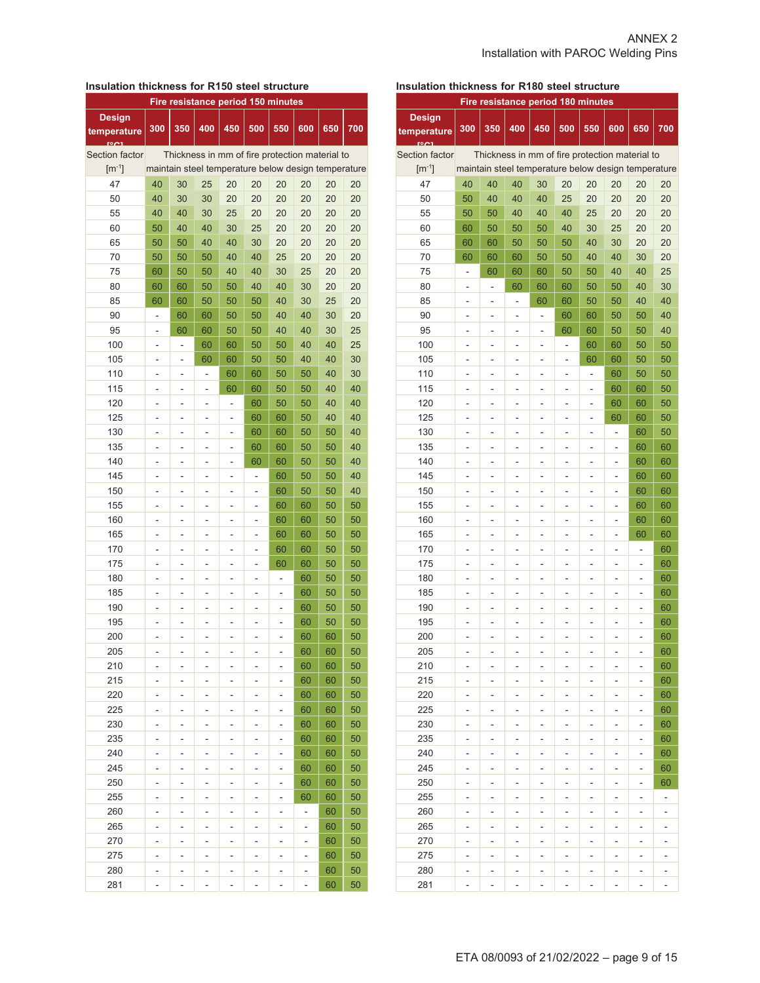#### **Insulation thickness for R150 steel structure**

| Fire resistance period 150 minutes |                |                   |                          |                                                     |     |     |     |     |     |
|------------------------------------|----------------|-------------------|--------------------------|-----------------------------------------------------|-----|-----|-----|-----|-----|
| <b>Design</b>                      | 300            | 350               | 400                      | 450                                                 | 500 | 550 | 600 | 650 | 700 |
| temperature                        |                |                   |                          |                                                     |     |     |     |     |     |
| Section factor                     |                |                   |                          | Thickness in mm of fire protection material to      |     |     |     |     |     |
| $\mathrm{[m^{-1}]}$                |                |                   |                          | maintain steel temperature below design temperature |     |     |     |     |     |
| 47                                 | 40             | 30                | 25                       | 20                                                  | 20  | 20  | 20  | 20  | 20  |
| 50                                 | 40             | 30                | 30                       | 20                                                  | 20  | 20  | 20  | 20  | 20  |
| 55                                 | 40             | 40                | 30                       | 25                                                  | 20  | 20  | 20  | 20  | 20  |
| 60                                 | 50             | 40                | 40                       | 30                                                  | 25  | 20  | 20  | 20  | 20  |
| 65                                 | 50             | 50                | 40                       | 40                                                  | 30  | 20  | 20  | 20  | 20  |
| 70                                 | 50             | 50                | 50                       | 40                                                  | 40  | 25  | 20  | 20  | 20  |
| 75                                 | 60             | 50                | 50                       | 40                                                  | 40  | 30  | 25  | 20  | 20  |
| 80                                 | 60             | 60                | 50                       | 50                                                  | 40  | 40  | 30  | 20  | 20  |
| 85                                 | 60             | 60                | 50                       | 50                                                  | 50  | 40  | 30  | 25  | 20  |
| 90                                 | -              | 60                | 60                       | 50                                                  | 50  | 40  | 40  | 30  | 20  |
| 95                                 |                | 60                | 60                       | 50                                                  | 50  | 40  | 40  | 30  | 25  |
| 100                                | ä,             | $\overline{a}$    | 60                       | 60                                                  | 50  | 50  | 40  | 40  | 25  |
| 105                                | $\overline{a}$ | -                 | 60                       | 60                                                  | 50  | 50  | 40  | 40  | 30  |
|                                    | $\overline{a}$ |                   |                          |                                                     |     |     |     | 40  | 30  |
| 110<br>115                         | ÷,             | $\overline{a}$    | -                        | 60                                                  | 60  | 50  | 50  | 40  | 40  |
|                                    |                |                   | -                        | 60                                                  | 60  | 50  | 50  |     |     |
| 120                                | $\overline{a}$ | $\overline{a}$    | -                        | ÷,                                                  | 60  | 50  | 50  | 40  | 40  |
| 125                                | $\overline{a}$ | -                 | -                        | $\overline{\phantom{0}}$                            | 60  | 60  | 50  | 40  | 40  |
| 130                                | ÷,             | $\overline{a}$    | ÷,                       | $\overline{\phantom{0}}$                            | 60  | 60  | 50  | 50  | 40  |
| 135                                | -              | -                 | $\overline{\phantom{0}}$ | -                                                   | 60  | 60  | 50  | 50  | 40  |
| 140                                | -              | -                 | -                        | -                                                   | 60  | 60  | 50  | 50  | 40  |
| 145                                | ÷,             | $\overline{a}$    | ÷,                       | -                                                   | ÷   | 60  | 50  | 50  | 40  |
| 150                                | -              | -                 | $\overline{a}$           | -                                                   | ÷   | 60  | 50  | 50  | 40  |
| 155                                | -              | -                 | ٠                        | ۰                                                   | -   | 60  | 60  | 50  | 50  |
| 160                                |                | L,                | L,                       | $\overline{a}$                                      | ÷   | 60  | 60  | 50  | 50  |
| 165                                | $\overline{a}$ | L,                | ÷                        | $\overline{a}$                                      | -   | 60  | 60  | 50  | 50  |
| 170                                | $\overline{a}$ | ۰                 | ۰                        | ٠                                                   | -   | 60  | 60  | 50  | 50  |
| 175                                | $\overline{a}$ | $\overline{a}$    |                          | $\overline{a}$                                      |     | 60  | 60  | 50  | 50  |
| 180                                | $\overline{a}$ |                   | L,                       |                                                     | -   | -   | 60  | 50  | 50  |
| 185                                | ÷,             | -                 | -                        |                                                     | -   | -   | 60  | 50  | 50  |
| 190                                | -              | -                 | -                        |                                                     | -   | -   | 60  | 50  | 50  |
| 195                                | ä,             | L,                | -                        | ä,                                                  | -   | L,  | 60  | 50  | 50  |
| 200                                |                |                   | ۰                        |                                                     | -   | ٠   | 60  | 60  | 50  |
| 205                                |                |                   | ۰                        |                                                     | ۰   |     | 60  | 60  | 50  |
| 210                                | -              | $\qquad \qquad -$ | -                        | ٠                                                   | ٠   |     | 60  | 60  | 50  |
| 215                                | -              | ۰                 | ۰                        | -                                                   | ۰   | -   | 60  | 60  | 50  |
| 220                                | -              | ۰                 | -                        | -                                                   | ۰   | -   | 60  | 60  | 50  |
| 225                                | -              | -                 | -                        | -                                                   | -   | -   | 60  | 60  | 50  |
| 230                                | -              | -                 | -                        | -                                                   | -   | -   | 60  | 60  | 50  |
| 235                                | $\overline{a}$ | -                 | -                        | ÷,                                                  | -   | -   | 60  | 60  | 50  |
| 240                                | $\overline{a}$ | -                 | -                        | $\overline{a}$                                      | -   | -   | 60  | 60  | 50  |
| 245                                | -              | -                 | -                        | -                                                   | -   | -   | 60  | 60  | 50  |
| 250                                | -              |                   | -                        | -                                                   | -   | -   | 60  | 60  | 50  |
| 255                                | -              | -                 | -                        | -                                                   | -   | -   | 60  | 60  | 50  |
| 260                                |                | -                 | -                        | -                                                   | ۰   | -   | ۰   | 60  | 50  |
| 265                                | -              | -                 | -                        | -                                                   | -   | -   | -   | 60  | 50  |
| 270                                | -              | -                 | ٠                        | -                                                   | -   | -   | -   | 60  | 50  |
| 275                                | ۳              | ۳                 | ۳                        | ۳                                                   | ۳   | ۳   | ۳   | 60  | 50  |
| 280                                | ۳              | ٠                 | ۳                        | ۳                                                   | ۳   | ۳   | ۳   | 60  | 50  |
| 281                                | -              |                   | -                        | -                                                   | -   | -   | -   | 60  | 50  |

## **Insulation thickness for R180 steel structure**

| <b>Fire resistance period 180 minutes</b> |                          |                |                          |                                                     |     |                              |                              |     |     |  |
|-------------------------------------------|--------------------------|----------------|--------------------------|-----------------------------------------------------|-----|------------------------------|------------------------------|-----|-----|--|
| <b>Design</b><br>temperature              | 300                      | 350            | 400                      | 450                                                 | 500 | 550                          | 600                          | 650 | 700 |  |
| <b>Section factor</b>                     |                          |                |                          | Thickness in mm of fire protection material to      |     |                              |                              |     |     |  |
| $\lceil m^{-1} \rceil$                    |                          |                |                          | maintain steel temperature below design temperature |     |                              |                              |     |     |  |
| 47                                        | 40                       | 40             | 40                       | 30                                                  | 20  | 20                           | 20                           | 20  | 20  |  |
| 50                                        | 50                       | 40             | 40                       | 40                                                  | 25  | 20                           | 20                           | 20  | 20  |  |
| 55                                        | 50                       | 50             | 40                       | 40                                                  | 40  | 25                           | 20                           | 20  | 20  |  |
| 60                                        | 60                       | 50             | 50                       | 50                                                  | 40  | 30                           | 25                           | 20  | 20  |  |
| 65                                        | 60                       | 60             | 50                       | 50                                                  | 50  | 40                           | 30                           | 20  | 20  |  |
| 70                                        | 60                       | 60             | 60                       | 50                                                  | 50  | 40                           | 40                           | 30  | 20  |  |
| 75                                        | -                        | 60             | 60                       | 60                                                  | 50  | 50                           | 40                           | 40  | 25  |  |
| 80                                        | -                        |                | 60                       | 60                                                  | 60  | 50                           | 50                           | 40  | 30  |  |
| 85                                        | $\overline{a}$           | -              |                          | 60                                                  | 60  | 50                           | 50                           | 40  | 40  |  |
| 90                                        | $\overline{a}$           | ÷              | ۰                        | -                                                   | 60  | 60                           | 50                           | 50  | 40  |  |
| 95                                        | $\overline{a}$           | ÷,             | -                        | $\overline{a}$                                      | 60  | 60                           | 50                           | 50  | 40  |  |
| 100                                       | ä,                       | $\overline{a}$ | L,                       | ä,                                                  | ÷,  | 60                           | 60                           | 50  | 50  |  |
| 105                                       | -                        | ÷              | -                        | -                                                   | ÷   | 60                           | 60                           | 50  | 50  |  |
| 110                                       | $\overline{a}$           | ÷              |                          | ÷,                                                  | ÷   | $\overline{\phantom{m}}$     | 60                           | 50  | 50  |  |
| 115                                       | -                        | ÷              | -                        | ÷,                                                  | -   | $\qquad \qquad \blacksquare$ | 60                           | 60  | 50  |  |
| 120                                       | -                        | -              | -                        | -                                                   | -   | $\overline{\phantom{0}}$     | 60                           | 60  | 50  |  |
| 125                                       | -                        | -              | -                        | -                                                   | -   | -                            | 60                           | 60  | 50  |  |
| 130                                       | $\overline{\phantom{m}}$ | ÷              | $\overline{\phantom{0}}$ | $\overline{a}$                                      | -   | $\qquad \qquad \blacksquare$ | $\qquad \qquad \blacksquare$ | 60  | 50  |  |
| 135                                       | $\overline{a}$           | ÷              | -                        | ٠                                                   | -   | $\overline{\phantom{0}}$     | $\overline{\phantom{m}}$     | 60  | 60  |  |
| 140                                       | ۳                        | -              | ٠                        | ۰                                                   | ۰   | ۰                            | -                            | 60  | 60  |  |
| 145                                       | $\overline{a}$           | ÷              | -                        | ä,                                                  | ÷   | -                            | L                            | 60  | 60  |  |
| 150                                       | -                        | -              | -                        | -                                                   |     | -                            | L                            | 60  | 60  |  |
| 155                                       | ٠                        | -              | ۰                        | ٠                                                   |     | -                            | -                            | 60  | 60  |  |
| 160                                       | ä,                       | ÷,             | $\overline{a}$           | ä,                                                  |     | $\overline{a}$               | L,                           | 60  | 60  |  |
| 165                                       | ä,                       | ÷              | -                        | ä,                                                  |     | -                            | ä,                           | 60  | 60  |  |
| 170                                       | -                        | -              | -                        | -                                                   |     | -                            | -                            | -   | 60  |  |
| 175                                       | ÷,                       | ÷              | $\overline{a}$           | ä,                                                  | ä,  | L,                           | ä,                           | ä,  | 60  |  |
| 180                                       | -                        | -              | -                        | ÷,                                                  | ÷   | $\overline{a}$               | ÷,                           | -   | 60  |  |
| 185                                       | -                        | -              | -                        | -                                                   | -   | -                            | -                            | -   | 60  |  |
| 190                                       | -                        | -              | -                        | -                                                   |     | -                            | -                            | -   | 60  |  |
| 195                                       |                          |                |                          | -                                                   |     |                              | ٠                            |     | 60  |  |
| 200                                       | -                        |                | -                        | -                                                   |     | -                            | -                            |     | 60  |  |
| 205                                       |                          |                |                          |                                                     |     |                              |                              |     | 60  |  |
| 210                                       | -                        | -              | -                        | -                                                   | -   | -                            | -                            | -   | 60  |  |
| 215                                       | -                        | ÷              | -                        | -                                                   | -   | -                            | -                            | -   | 60  |  |
| 220                                       | -                        | -              | -                        | -                                                   | -   | -                            | -                            | -   | 60  |  |
| 225                                       | $\overline{a}$           | ÷,             | -                        | $\overline{a}$                                      | ÷   | $\overline{a}$               | ÷,                           | -   | 60  |  |
| 230                                       | -                        | -              | -                        | -                                                   | -   | -                            | -                            | -   | 60  |  |
| 235                                       | -                        | -              |                          | -                                                   | -   | -                            | -                            | -   | 60  |  |
| 240                                       | -                        | -              | -                        | -                                                   | -   | $\overline{\phantom{0}}$     | -                            | -   | 60  |  |
| 245                                       | ۰                        | -              | ۳                        | -                                                   | ۰   | ۰                            | -                            | -   | 60  |  |
| 250                                       | -                        |                | -                        | -                                                   | ۰   | -                            | -                            | -   | 60  |  |
| 255                                       | -                        | -<br>-         | $\overline{a}$           | -                                                   | -   | $\overline{\phantom{0}}$     | -                            | -   | -   |  |
| 260                                       |                          |                |                          |                                                     |     |                              |                              |     |     |  |
| 265                                       | ۰                        | ۳              | ۳                        | ۳                                                   | ۳   | ۳                            | ۳                            | ۰   | ۰   |  |
| 270                                       | -                        | ۰              | -                        | ۰                                                   | ۰   | ۰                            | -                            | -   | ۰   |  |
| 275                                       | -                        | ÷              | -                        | -                                                   | -   | -                            | -                            | -   | -   |  |
| 280                                       | -                        | -              | -                        | -                                                   | ٠   | -                            | -                            | -   |     |  |
| 281                                       |                          |                |                          | ۳                                                   |     | -                            | -                            |     |     |  |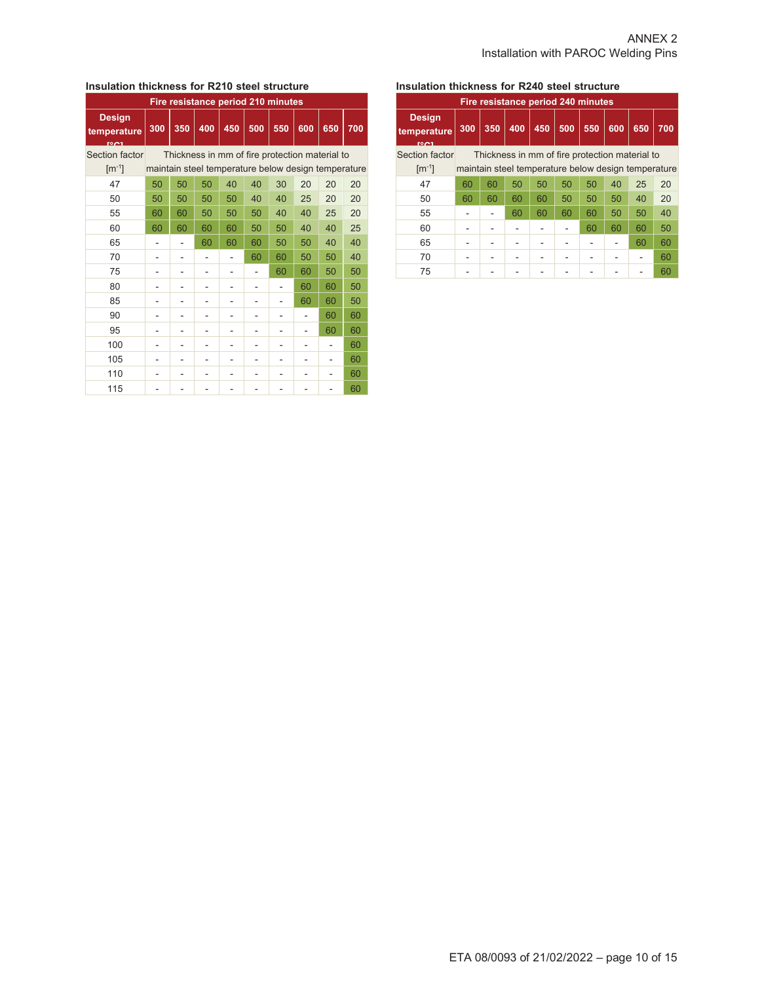#### **Insulation thickness for R210 steel structure**

| Fire resistance period 210 minutes   |     |                                                |     |                                                     |     |     |     |     |     |  |  |  |
|--------------------------------------|-----|------------------------------------------------|-----|-----------------------------------------------------|-----|-----|-----|-----|-----|--|--|--|
| <b>Design</b><br>temperature<br>1001 | 300 | 350                                            | 400 | 450                                                 | 500 | 550 | 600 | 650 | 700 |  |  |  |
| Section factor                       |     | Thickness in mm of fire protection material to |     |                                                     |     |     |     |     |     |  |  |  |
| $\mathrm{[m^{-1}]}$                  |     |                                                |     | maintain steel temperature below design temperature |     |     |     |     |     |  |  |  |
| 47                                   | 50  | 50                                             | 50  | 40                                                  | 40  | 30  | 20  | 20  | 20  |  |  |  |
| 50                                   | 50  | 50                                             | 50  | 50                                                  | 40  | 40  | 25  | 20  | 20  |  |  |  |
| 55                                   | 60  | 60                                             | 50  | 50                                                  | 50  | 40  | 40  | 25  | 20  |  |  |  |
| 60                                   | 60  | 60                                             | 60  | 60                                                  | 50  | 50  | 40  | 40  | 25  |  |  |  |
| 65                                   |     |                                                | 60  | 60                                                  | 60  | 50  | 50  | 40  | 40  |  |  |  |
| 70                                   |     |                                                |     |                                                     | 60  | 60  | 50  | 50  | 40  |  |  |  |
| 75                                   |     |                                                |     |                                                     |     | 60  | 60  | 50  | 50  |  |  |  |
| 80                                   |     |                                                |     |                                                     |     |     | 60  | 60  | 50  |  |  |  |
| 85                                   |     |                                                |     |                                                     |     |     | 60  | 60  | 50  |  |  |  |
| 90                                   |     |                                                |     |                                                     |     |     |     | 60  | 60  |  |  |  |
| 95                                   | -   |                                                |     |                                                     |     |     |     | 60  | 60  |  |  |  |
| 100                                  |     |                                                |     |                                                     |     |     |     |     | 60  |  |  |  |
| 105                                  |     |                                                |     |                                                     |     |     |     |     | 60  |  |  |  |
| 110                                  |     |                                                |     |                                                     |     |     |     |     | 60  |  |  |  |
| 115                                  |     |                                                |     |                                                     |     |     |     |     | 60  |  |  |  |

## **Insulation thickness for R240 steel structure**

| Fire resistance period 240 minutes               |     |                                                     |     |     |     |     |     |     |     |  |  |  |
|--------------------------------------------------|-----|-----------------------------------------------------|-----|-----|-----|-----|-----|-----|-----|--|--|--|
| <b>Design</b><br>temperature<br>rom <sub>1</sub> | 300 | 350                                                 | 400 | 450 | 500 | 550 | 600 | 650 | 700 |  |  |  |
| Section factor                                   |     | Thickness in mm of fire protection material to      |     |     |     |     |     |     |     |  |  |  |
| $\mathrm{[m^{-1}]}$                              |     | maintain steel temperature below design temperature |     |     |     |     |     |     |     |  |  |  |
| 47                                               | 60  | 60                                                  | 50  | 50  | 50  | 50  | 40  | 25  | 20  |  |  |  |
| 50                                               | 60  | 60                                                  | 60  | 60  | 50  | 50  | 50  | 40  | 20  |  |  |  |
| 55                                               |     |                                                     | 60  | 60  | 60  | 60  | 50  | 50  | 40  |  |  |  |
| 60                                               |     |                                                     |     |     |     | 60  | 60  | 60  | 50  |  |  |  |
| 65                                               |     |                                                     |     |     |     |     |     | 60  | 60  |  |  |  |
| 70                                               |     |                                                     |     |     |     |     |     |     | 60  |  |  |  |
| 75                                               |     |                                                     |     |     |     |     |     |     | 60  |  |  |  |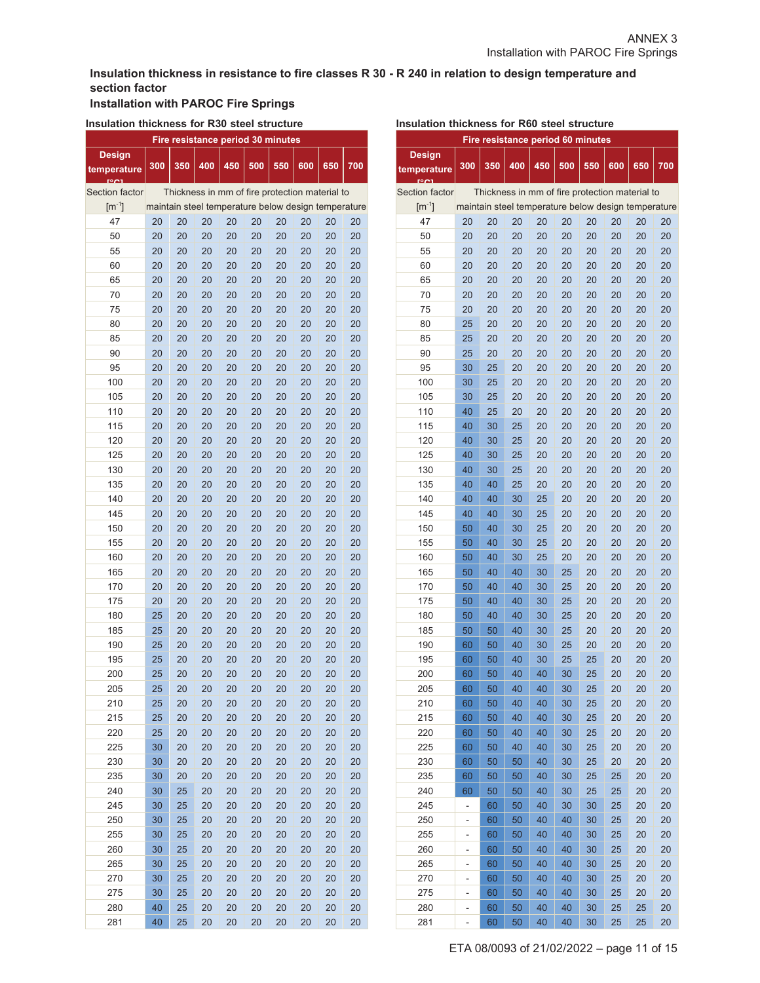## **Insulation thickness in resistance to fire classes R 30 - R 240 in relation to design temperature and section factor**

# **Installation with PAROC Fire Springs**

# **Insulation thickness for R30 steel structure**

| Fire resistance period 30 minutes |     |     |     |                                                     |     |     |     |     |     |  |
|-----------------------------------|-----|-----|-----|-----------------------------------------------------|-----|-----|-----|-----|-----|--|
| <b>Design</b>                     |     |     |     |                                                     |     |     |     |     |     |  |
| temperature<br><b>FOOT</b>        | 300 | 350 | 400 | 450                                                 | 500 | 550 | 600 | 650 | 700 |  |
| <b>Section factor</b>             |     |     |     | Thickness in mm of fire protection material to      |     |     |     |     |     |  |
| $\mathrm{[m^{-1}]}$               |     |     |     | maintain steel temperature below design temperature |     |     |     |     |     |  |
| 47                                | 20  | 20  | 20  | 20                                                  | 20  | 20  | 20  | 20  | 20  |  |
| 50                                | 20  | 20  | 20  | 20                                                  | 20  | 20  | 20  | 20  | 20  |  |
| 55                                | 20  | 20  | 20  | 20                                                  | 20  | 20  | 20  | 20  | 20  |  |
| 60                                | 20  | 20  | 20  | 20                                                  | 20  | 20  | 20  | 20  | 20  |  |
| 65                                | 20  | 20  | 20  | 20                                                  | 20  | 20  | 20  | 20  | 20  |  |
| 70                                | 20  | 20  | 20  | 20                                                  | 20  | 20  | 20  | 20  | 20  |  |
| 75                                | 20  | 20  | 20  | 20                                                  | 20  | 20  | 20  | 20  | 20  |  |
| 80                                | 20  | 20  | 20  | 20                                                  | 20  | 20  | 20  | 20  | 20  |  |
| 85                                | 20  | 20  | 20  | 20                                                  | 20  | 20  | 20  | 20  | 20  |  |
| 90                                | 20  | 20  | 20  | 20                                                  | 20  | 20  | 20  | 20  | 20  |  |
| 95                                | 20  | 20  | 20  | 20                                                  | 20  | 20  | 20  | 20  | 20  |  |
| 100                               | 20  | 20  | 20  | 20                                                  | 20  | 20  | 20  | 20  | 20  |  |
| 105                               | 20  | 20  | 20  | 20                                                  | 20  | 20  | 20  | 20  | 20  |  |
| 110                               | 20  | 20  | 20  | 20                                                  | 20  | 20  | 20  | 20  | 20  |  |
| 115                               | 20  | 20  | 20  | 20                                                  | 20  | 20  | 20  | 20  | 20  |  |
| 120                               | 20  | 20  | 20  | 20                                                  | 20  | 20  | 20  | 20  | 20  |  |
| 125                               | 20  | 20  | 20  | 20                                                  | 20  | 20  | 20  | 20  | 20  |  |
| 130                               | 20  | 20  | 20  | 20                                                  | 20  | 20  | 20  | 20  | 20  |  |
| 135                               | 20  | 20  | 20  | 20                                                  | 20  | 20  | 20  | 20  | 20  |  |
| 140                               | 20  | 20  | 20  | 20                                                  | 20  | 20  | 20  | 20  | 20  |  |
| 145                               | 20  | 20  | 20  | 20                                                  | 20  | 20  | 20  | 20  | 20  |  |
| 150                               | 20  | 20  | 20  | 20                                                  | 20  | 20  | 20  | 20  | 20  |  |
| 155                               | 20  | 20  | 20  | 20                                                  | 20  | 20  | 20  | 20  | 20  |  |
| 160                               | 20  | 20  | 20  | 20                                                  | 20  | 20  | 20  | 20  | 20  |  |
| 165                               | 20  | 20  | 20  | 20                                                  | 20  | 20  | 20  | 20  | 20  |  |
| 170                               | 20  | 20  | 20  | 20                                                  | 20  | 20  | 20  | 20  | 20  |  |
| 175                               | 20  | 20  | 20  | 20                                                  | 20  | 20  | 20  | 20  | 20  |  |
| 180                               | 25  | 20  | 20  | 20                                                  | 20  | 20  | 20  | 20  | 20  |  |
| 185                               | 25  | 20  | 20  | 20                                                  | 20  | 20  | 20  | 20  | 20  |  |
| 190                               | 25  | 20  | 20  | 20                                                  | 20  | 20  | 20  | 20  | 20  |  |
| 195                               | 25  | 20  | 20  | 20                                                  | 20  | 20  | 20  | 20  | 20  |  |
| 200                               | 25  | 20  | 20  | 20                                                  | 20  | 20  | 20  | 20  | 20  |  |
| 205                               | 25  | 20  | 20  | 20                                                  | 20  | 20  | 20  | 20  | 20  |  |
| 210                               | 25  | 20  | 20  | 20                                                  | 20  | 20  | 20  | 20  | 20  |  |
| 215                               | 25  | 20  | 20  | 20                                                  | 20  | 20  | 20  | 20  | 20  |  |
| 220                               | 25  | 20  | 20  | 20                                                  | 20  | 20  | 20  | 20  | 20  |  |
| 225                               | 30  | 20  | 20  | 20                                                  | 20  | 20  | 20  | 20  | 20  |  |
| 230                               | 30  | 20  | 20  | 20                                                  | 20  | 20  | 20  | 20  | 20  |  |
| 235                               | 30  | 20  | 20  | 20                                                  | 20  | 20  | 20  | 20  | 20  |  |
| 240                               | 30  | 25  | 20  | 20                                                  | 20  | 20  | 20  | 20  | 20  |  |
| 245                               | 30  | 25  | 20  | 20                                                  | 20  | 20  | 20  | 20  | 20  |  |
| 250                               | 30  | 25  | 20  | 20                                                  | 20  | 20  | 20  | 20  | 20  |  |
| 255                               | 30  | 25  | 20  | 20                                                  | 20  | 20  | 20  | 20  | 20  |  |
| 260                               | 30  | 25  | 20  | 20                                                  | 20  | 20  | 20  | 20  | 20  |  |
| 265                               | 30  | 25  | 20  | 20                                                  | 20  | 20  | 20  | 20  | 20  |  |
| 270                               | 30  | 25  | 20  | 20                                                  | 20  | 20  | 20  | 20  | 20  |  |
| 275                               | 30  | 25  | 20  | 20                                                  | 20  | 20  | 20  | 20  | 20  |  |
| 280                               | 40  | 25  | 20  | 20                                                  | 20  | 20  | 20  | 20  | 20  |  |
| 281                               | 40  | 25  | 20  | 20                                                  | 20  | 20  | 20  | 20  | 20  |  |

| Insulation thickness for R60 steel structure |                |     |     |                                                     |     |         |     |     |           |  |  |
|----------------------------------------------|----------------|-----|-----|-----------------------------------------------------|-----|---------|-----|-----|-----------|--|--|
| Fire resistance period 60 minutes            |                |     |     |                                                     |     |         |     |     |           |  |  |
| <b>Design</b>                                |                |     |     |                                                     |     |         |     |     |           |  |  |
| temperature                                  | 300            | 350 | 400 | 450                                                 | 500 | 550     | 600 | 650 | 700       |  |  |
|                                              |                |     |     |                                                     |     |         |     |     |           |  |  |
| Section factor                               |                |     |     | Thickness in mm of fire protection material to      |     |         |     |     |           |  |  |
| $\mathrm{[m^{-1}]}$                          |                |     |     | maintain steel temperature below design temperature |     |         |     |     |           |  |  |
| 47                                           | 20             | 20  | 20  | 20                                                  | 20  | 20      | 20  | 20  | 20        |  |  |
| 50                                           | 20             | 20  | 20  | 20                                                  | 20  | 20      | 20  | 20  | 20        |  |  |
| 55                                           | 20             | 20  | 20  | 20                                                  | 20  | 20      | 20  | 20  | 20        |  |  |
| 60                                           | 20             | 20  | 20  | 20                                                  | 20  | 20      | 20  | 20  | 20        |  |  |
| 65                                           | 20             | 20  | 20  | 20                                                  | 20  | 20      | 20  | 20  | 20        |  |  |
| 70                                           | 20             | 20  | 20  | 20                                                  | 20  | 20      | 20  | 20  | 20        |  |  |
| 75                                           | 20             | 20  | 20  | 20                                                  | 20  | 20      | 20  | 20  | 20        |  |  |
| 80                                           | 25             | 20  | 20  | 20                                                  | 20  | 20      | 20  | 20  | 20        |  |  |
| 85                                           | 25             | 20  | 20  | 20                                                  | 20  | 20      | 20  | 20  | 20        |  |  |
| 90                                           | 25             | 20  | 20  | 20                                                  | 20  | 20      | 20  | 20  | 20        |  |  |
| 95                                           | 30             | 25  | 20  | 20                                                  | 20  | 20      | 20  | 20  | 20        |  |  |
| 100                                          | 30             | 25  | 20  | 20                                                  | 20  | 20      | 20  | 20  | 20        |  |  |
| 105                                          | 30             | 25  | 20  | 20                                                  | 20  | 20      | 20  | 20  | 20        |  |  |
| 110                                          | 40             | 25  | 20  | 20                                                  | 20  | 20      | 20  | 20  | 20        |  |  |
| 115                                          | 40             | 30  | 25  | 20                                                  | 20  | 20      | 20  | 20  | 20        |  |  |
| 120                                          | 40             | 30  | 25  | 20                                                  | 20  | 20      | 20  | 20  | 20        |  |  |
| 125                                          | 40             | 30  | 25  | 20                                                  | 20  | 20      | 20  | 20  | 20        |  |  |
| 130                                          | 40             | 30  | 25  | 20                                                  | 20  | 20      | 20  | 20  | 20        |  |  |
| 135                                          | 40             | 40  | 25  | 20                                                  | 20  | 20      | 20  | 20  | 20        |  |  |
| 140                                          | 40             | 40  | 30  | 25                                                  | 20  | 20      | 20  | 20  | 20        |  |  |
| 145                                          | 40             | 40  | 30  | 25                                                  | 20  | 20      | 20  | 20  | 20        |  |  |
| 150                                          | 50             | 40  | 30  | 25                                                  | 20  | 20      | 20  | 20  | 20        |  |  |
| 155                                          | 50             | 40  | 30  | 25                                                  | 20  | 20      | 20  | 20  | 20        |  |  |
| 160                                          | 50             | 40  | 30  | 25                                                  | 20  | 20      | 20  | 20  | 20        |  |  |
| 165                                          | 50             | 40  | 40  | 30                                                  | 25  | 20      | 20  | 20  | 20        |  |  |
| 170                                          | 50             | 40  | 40  | 30                                                  | 25  | 20      | 20  | 20  | 20        |  |  |
| 175                                          | 50             | 40  | 40  | 30                                                  | 25  | 20      | 20  | 20  | 20        |  |  |
| 180                                          | 50             | 40  | 40  | 30                                                  | 25  | 20      | 20  | 20  | 20        |  |  |
| 185                                          | 50             | 50  | 40  | 30                                                  | 25  | 20      | 20  | 20  | 20        |  |  |
| 190                                          | 60             | 50  | 40  | 30                                                  | 25  | 20      | 20  | 20  | 20        |  |  |
| 195                                          | 60             | 50  | 40  | 30                                                  | 25  | 25      | 20  | 20  | 20        |  |  |
| 200                                          | 60             | 50  | 40  | 40                                                  | 30  | $^{25}$ | 20  | 20  | <b>20</b> |  |  |
| 205                                          | 60             | 50  | 40  | 40                                                  | 30  | 25      | 20  | 20  | 20        |  |  |
| 210                                          | 60             | 50  | 40  | 40                                                  | 30  | 25      | 20  | 20  | 20        |  |  |
| 215                                          | 60             | 50  | 40  | 40                                                  | 30  | 25      | 20  | 20  | 20        |  |  |
| 220                                          | 60             | 50  | 40  | 40                                                  | 30  | 25      | 20  | 20  | 20        |  |  |
| 225                                          | 60             | 50  | 40  | 40                                                  | 30  | 25      | 20  | 20  | 20        |  |  |
| 230                                          | 60             | 50  | 50  | 40                                                  | 30  | 25      | 20  | 20  | 20        |  |  |
| 235                                          | 60             | 50  | 50  | 40                                                  | 30  | 25      | 25  | 20  | 20        |  |  |
| 240                                          | 60             | 50  | 50  | 40                                                  | 30  | 25      | 25  | 20  | 20        |  |  |
| 245                                          | -              | 60  | 50  | 40                                                  | 30  | 30      | 25  | 20  | 20        |  |  |
| 250                                          | $\overline{a}$ | 60  | 50  | 40                                                  | 40  | 30      | 25  | 20  | 20        |  |  |
| 255                                          |                | 60  | 50  | 40                                                  | 40  | 30      | 25  | 20  | 20        |  |  |
| 260                                          |                | 60  | 50  | 40                                                  | 40  | 30      | 25  | 20  | 20        |  |  |
|                                              | -              | 60  |     | 40                                                  | 40  | 30      |     |     |           |  |  |
| 265                                          | -              |     | 50  | 40                                                  | 40  | 30      | 25  | 20  | 20        |  |  |
| 270                                          | -              | 60  | 50  |                                                     | 40  |         | 25  | 20  | 20        |  |  |
| 275                                          | -              | 60  | 50  | 40                                                  |     | 30      | 25  | 20  | 20        |  |  |
| 280                                          |                | 60  | 50  | 40                                                  | 40  | 30      | 25  | 25  | 20        |  |  |
| 281                                          | -              | 60  | 50  | 40                                                  | 40  | 30      | 25  | 25  | 20        |  |  |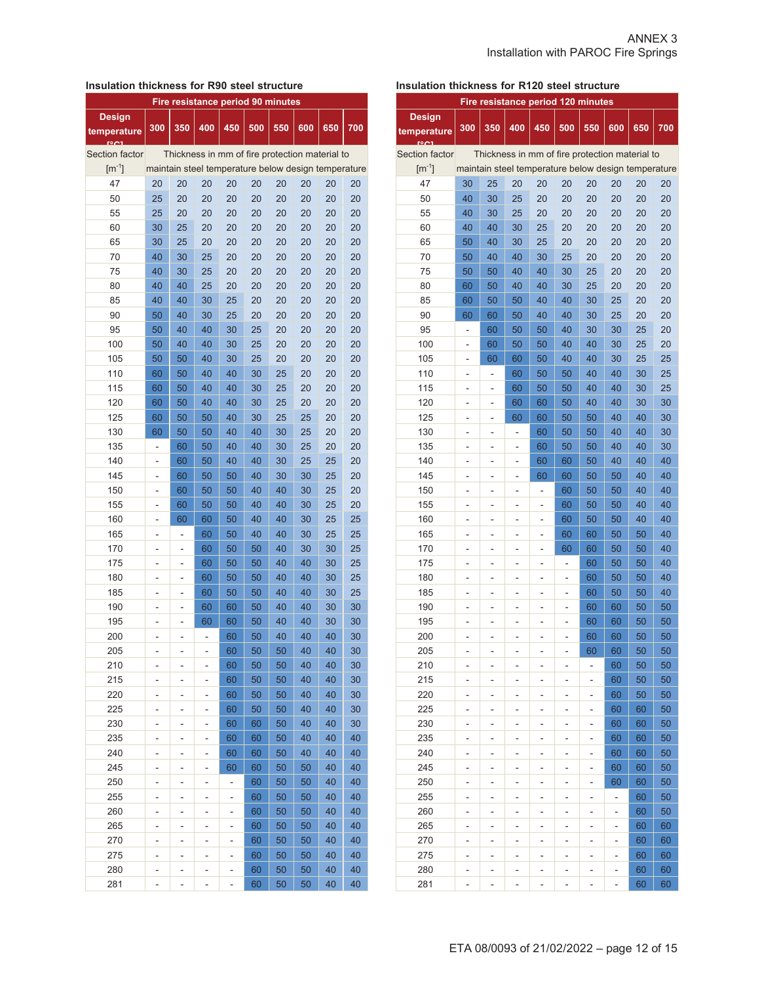#### **Insulation thickness for R90 steel structure**

| Fire resistance period 90 minutes |                          |     |     |                                                     |     |     |     |     |     |  |
|-----------------------------------|--------------------------|-----|-----|-----------------------------------------------------|-----|-----|-----|-----|-----|--|
| <b>Design</b>                     |                          |     |     |                                                     |     |     |     |     |     |  |
| temperature                       | 300                      | 350 | 400 | 450                                                 | 500 | 550 | 600 | 650 | 700 |  |
|                                   |                          |     |     |                                                     |     |     |     |     |     |  |
| Section factor                    |                          |     |     | Thickness in mm of fire protection material to      |     |     |     |     |     |  |
| $\lceil m^{-1} \rceil$            |                          |     |     | maintain steel temperature below design temperature |     |     |     |     |     |  |
| 47                                | 20                       | 20  | 20  | 20                                                  | 20  | 20  | 20  | 20  | 20  |  |
| 50                                | 25                       | 20  | 20  | 20                                                  | 20  | 20  | 20  | 20  | 20  |  |
| 55                                | 25                       | 20  | 20  | 20                                                  | 20  | 20  | 20  | 20  | 20  |  |
| 60                                | 30                       | 25  | 20  | 20                                                  | 20  | 20  | 20  | 20  | 20  |  |
| 65                                | 30                       | 25  | 20  | 20                                                  | 20  | 20  | 20  | 20  | 20  |  |
| 70                                | 40                       | 30  | 25  | 20                                                  | 20  | 20  | 20  | 20  | 20  |  |
| 75                                | 40                       | 30  | 25  | 20                                                  | 20  | 20  | 20  | 20  | 20  |  |
| 80                                | 40                       | 40  | 25  | 20                                                  | 20  | 20  | 20  | 20  | 20  |  |
| 85                                | 40                       | 40  | 30  | 25                                                  | 20  | 20  | 20  | 20  | 20  |  |
| 90                                | 50                       | 40  | 30  | 25                                                  | 20  | 20  | 20  | 20  | 20  |  |
| 95                                | 50                       | 40  | 40  | 30                                                  | 25  | 20  | 20  | 20  | 20  |  |
| 100                               | 50                       | 40  | 40  | 30                                                  | 25  | 20  | 20  | 20  | 20  |  |
| 105                               | 50                       | 50  | 40  | 30                                                  | 25  | 20  | 20  | 20  | 20  |  |
| 110                               | 60                       | 50  | 40  | 40                                                  | 30  | 25  | 20  | 20  | 20  |  |
| 115                               | 60                       | 50  | 40  | 40                                                  | 30  | 25  | 20  | 20  | 20  |  |
| 120                               | 60                       | 50  | 40  | 40                                                  | 30  | 25  | 20  | 20  | 20  |  |
| 125                               | 60                       | 50  | 50  | 40                                                  | 30  | 25  | 25  | 20  | 20  |  |
| 130                               | 60                       | 50  | 50  | 40                                                  | 40  | 30  | 25  | 20  | 20  |  |
| 135                               | $\overline{\phantom{0}}$ | 60  | 50  | 40                                                  | 40  | 30  | 25  | 20  | 20  |  |
| 140                               | $\overline{\phantom{0}}$ | 60  | 50  | 40                                                  | 40  | 30  | 25  | 25  | 20  |  |
| 145                               | -                        | 60  | 50  | 50                                                  | 40  | 30  | 30  | 25  | 20  |  |
| 150                               | -                        | 60  | 50  | 50                                                  | 40  | 40  | 30  | 25  | 20  |  |
| 155                               | -                        | 60  | 50  | 50                                                  | 40  | 40  | 30  | 25  | 20  |  |
| 160                               | -                        | 60  | 60  | 50                                                  | 40  | 40  | 30  | 25  | 25  |  |
| 165                               |                          |     | 60  | 50                                                  | 40  | 40  | 30  | 25  | 25  |  |
| 170                               | -<br>$\overline{a}$      |     | 60  | 50                                                  | 50  | 40  | 30  | 30  | 25  |  |
|                                   |                          |     | 60  | 50                                                  | 50  | 40  | 40  |     |     |  |
| 175                               | -                        |     |     |                                                     |     |     |     | 30  | 25  |  |
| 180                               | $\overline{a}$           | L,  | 60  | 50                                                  | 50  | 40  | 40  | 30  | 25  |  |
| 185                               |                          |     | 60  | 50                                                  | 50  | 40  | 40  | 30  | 25  |  |
| 190                               |                          |     | 60  | 60                                                  | 50  | 40  | 40  | 30  | 30  |  |
| 195                               |                          |     | 60  | 60                                                  | 50  | 40  | 40  | 30  | 30  |  |
| 200                               | L.                       | L,  | L,  | 60                                                  | 50  | 40  | 40  | 40  | 30  |  |
| 205                               |                          |     |     | 60                                                  | 50  | 50  | 40  | 40  | 30  |  |
| 210                               |                          |     |     | 60                                                  | 50  | 50  | 40  | 40  | 30  |  |
| 215                               |                          |     |     | 60                                                  | 50  | 50  | 40  | 40  | 30  |  |
| 220                               |                          | -   |     | 60                                                  | 50  | 50  | 40  | 40  | 30  |  |
| 225                               | -                        | ۰   | -   | 60                                                  | 50  | 50  | 40  | 40  | 30  |  |
| 230                               | -                        | -   | -   | 60                                                  | 60  | 50  | 40  | 40  | 30  |  |
| 235                               |                          |     |     | 60                                                  | 60  | 50  | 40  | 40  | 40  |  |
| 240                               |                          |     |     | 60                                                  | 60  | 50  | 40  | 40  | 40  |  |
| 245                               | -                        | -   | -   | 60                                                  | 60  | 50  | 50  | 40  | 40  |  |
| 250                               | $\overline{a}$           | -   | -   | $\overline{a}$                                      | 60  | 50  | 50  | 40  | 40  |  |
| 255                               | -                        | -   | -   | -                                                   | 60  | 50  | 50  | 40  | 40  |  |
| 260                               |                          |     |     | ÷,                                                  | 60  | 50  | 50  | 40  | 40  |  |
| 265                               | -                        | -   | -   | -                                                   | 60  | 50  | 50  | 40  | 40  |  |
| 270                               |                          |     |     | -                                                   | 60  | 50  | 50  | 40  | 40  |  |
| 275                               |                          | -   | -   | -                                                   | 60  | 50  | 50  | 40  | 40  |  |
| 280                               |                          |     |     | -                                                   | 60  | 50  | 50  | 40  | 40  |  |
| 281                               | -                        | -   | -   | -                                                   | 60  | 50  | 50  | 40  | 40  |  |

## **Insulation thickness for R120 steel structure**

|                        | Fire resistance period 120 minutes |     |                |                                                     |     |     |     |     |          |  |  |
|------------------------|------------------------------------|-----|----------------|-----------------------------------------------------|-----|-----|-----|-----|----------|--|--|
| <b>Design</b>          | 300                                | 350 | 400            | 450                                                 | 500 | 550 | 600 | 650 | 700      |  |  |
| temperature            |                                    |     |                |                                                     |     |     |     |     |          |  |  |
| Section factor         |                                    |     |                | Thickness in mm of fire protection material to      |     |     |     |     |          |  |  |
| $\lceil m^{-1} \rceil$ |                                    |     |                | maintain steel temperature below design temperature |     |     |     |     |          |  |  |
| 47                     | 30                                 | 25  | 20             | 20                                                  | 20  | 20  | 20  | 20  | 20       |  |  |
| 50                     | 40                                 | 30  | 25             | 20                                                  | 20  | 20  | 20  | 20  | 20       |  |  |
| 55                     | 40                                 | 30  | 25             | 20                                                  | 20  | 20  | 20  | 20  | 20       |  |  |
| 60                     | 40                                 | 40  | 30             | 25                                                  | 20  | 20  | 20  | 20  | 20       |  |  |
| 65                     | 50                                 | 40  | 30             | 25                                                  | 20  | 20  | 20  | 20  | 20       |  |  |
| 70                     | 50                                 | 40  | 40             | 30                                                  | 25  | 20  | 20  | 20  | 20       |  |  |
| 75                     | 50                                 | 50  | 40             | 40                                                  | 30  | 25  | 20  | 20  | 20       |  |  |
| 80                     | 60                                 | 50  | 40             | 40                                                  | 30  | 25  | 20  | 20  | 20       |  |  |
| 85                     | 60                                 | 50  | 50             | 40                                                  | 40  | 30  | 25  | 20  | 20       |  |  |
| 90                     | 60                                 | 60  | 50             | 40                                                  | 40  | 30  | 25  | 20  | 20       |  |  |
| 95                     |                                    | 60  | 50             | 50                                                  | 40  | 30  | 30  | 25  | 20       |  |  |
| 100                    |                                    | 60  | 50             | 50                                                  | 40  | 40  | 30  | 25  | 20       |  |  |
| 105                    |                                    | 60  | 60             | 50                                                  | 40  | 40  | 30  | 25  | 25       |  |  |
| 110                    | ä,                                 | ÷,  | 60             | 50                                                  | 50  | 40  | 40  | 30  | 25       |  |  |
| 115                    |                                    | ÷   | 60             | 50                                                  | 50  | 40  | 40  | 30  | 25       |  |  |
| 120                    |                                    | ÷   | 60             | 60                                                  | 50  | 40  | 40  | 30  | 30       |  |  |
| 125                    |                                    | ÷   | 60             | 60                                                  | 50  | 50  | 40  | 40  | 30       |  |  |
| 130                    | -                                  |     |                | 60                                                  | 50  | 50  | 40  | 40  | 30       |  |  |
| 135                    | ۰                                  | -   | -              |                                                     |     |     | 40  | 40  |          |  |  |
| 140                    | -                                  | -   | $\overline{a}$ | 60                                                  | 50  | 50  |     |     | 30<br>40 |  |  |
|                        | -                                  | -   | $\overline{a}$ | 60                                                  | 60  | 50  | 40  | 40  |          |  |  |
| 145                    | ۳                                  | -   | -              | 60                                                  | 60  | 50  | 50  | 40  | 40       |  |  |
| 150                    | ۰                                  | -   | -              | -                                                   | 60  | 50  | 50  | 40  | 40       |  |  |
| 155                    | ۰                                  | -   | -              |                                                     | 60  | 50  | 50  | 40  | 40       |  |  |
| 160                    |                                    | -   | -              |                                                     | 60  | 50  | 50  | 40  | 40       |  |  |
| 165                    |                                    | -   | L,             | L                                                   | 60  | 60  | 50  | 50  | 40       |  |  |
| 170                    |                                    |     |                |                                                     | 60  | 60  | 50  | 50  | 40       |  |  |
| 175                    | $\overline{a}$                     | -   |                |                                                     | ÷   | 60  | 50  | 50  | 40       |  |  |
| 180                    |                                    |     | -              |                                                     | -   | 60  | 50  | 50  | 40       |  |  |
| 185                    | $\overline{a}$                     | -   | L,             | ۳                                                   | ä,  | 60  | 50  | 50  | 40       |  |  |
| 190                    | ۰                                  | -   | L,             | -                                                   | -   | 60  | 60  | 50  | 50       |  |  |
| 195                    |                                    |     |                |                                                     |     | 60  | 60  | 50  | 50       |  |  |
| 200                    |                                    |     |                |                                                     |     | 60  | 60  | 50  | 50       |  |  |
| 205                    |                                    |     |                |                                                     |     | 60  | 60  | 50  | 50       |  |  |
| 210                    | ۰                                  | ۳   | ۳              | ۳                                                   | ۳   | ۰   | 60  | 50  | 50       |  |  |
| 215                    | ÷,                                 | -   | -              | $\overline{a}$                                      | -   | -   | 60  | 50  | 50       |  |  |
| 220                    |                                    | -   | -              |                                                     | -   | -   | 60  | 50  | 50       |  |  |
| 225                    |                                    | -   | -              | -                                                   | -   | -   | 60  | 60  | 50       |  |  |
| 230                    |                                    | -   | -              | -                                                   | -   | -   | 60  | 60  | 50       |  |  |
| 235                    |                                    | ÷   | ÷,             | $\overline{a}$                                      | ÷,  |     | 60  | 60  | 50       |  |  |
| 240                    |                                    | -   | -              | -                                                   | -   | -   | 60  | 60  | 50       |  |  |
| 245                    |                                    | -   |                | -                                                   | -   | -   | 60  | 60  | 50       |  |  |
| 250                    | -                                  | -   | -              | -                                                   | ۰   | -   | 60  | 60  | 50       |  |  |
| 255                    |                                    | ٠   | -              | -                                                   | -   | -   | -   | 60  | 50       |  |  |
| 260                    | -                                  | -   | -              | -                                                   | -   | -   | -   | 60  | 50       |  |  |
| 265                    | -                                  | -   | -              | -                                                   | -   | -   | -   | 60  | 60       |  |  |
| 270                    | ۳                                  | ۳   | ۳              | ۳                                                   | ۰   | ۳   | -   | 60  | 60       |  |  |
| 275                    | ٠                                  | ۰   | -              | -                                                   | ۰   | -   | -   | 60  | 60       |  |  |
| 280                    |                                    |     |                |                                                     |     | -   |     | 60  | 60       |  |  |
| 281                    |                                    |     |                |                                                     |     |     |     | 60  | 60       |  |  |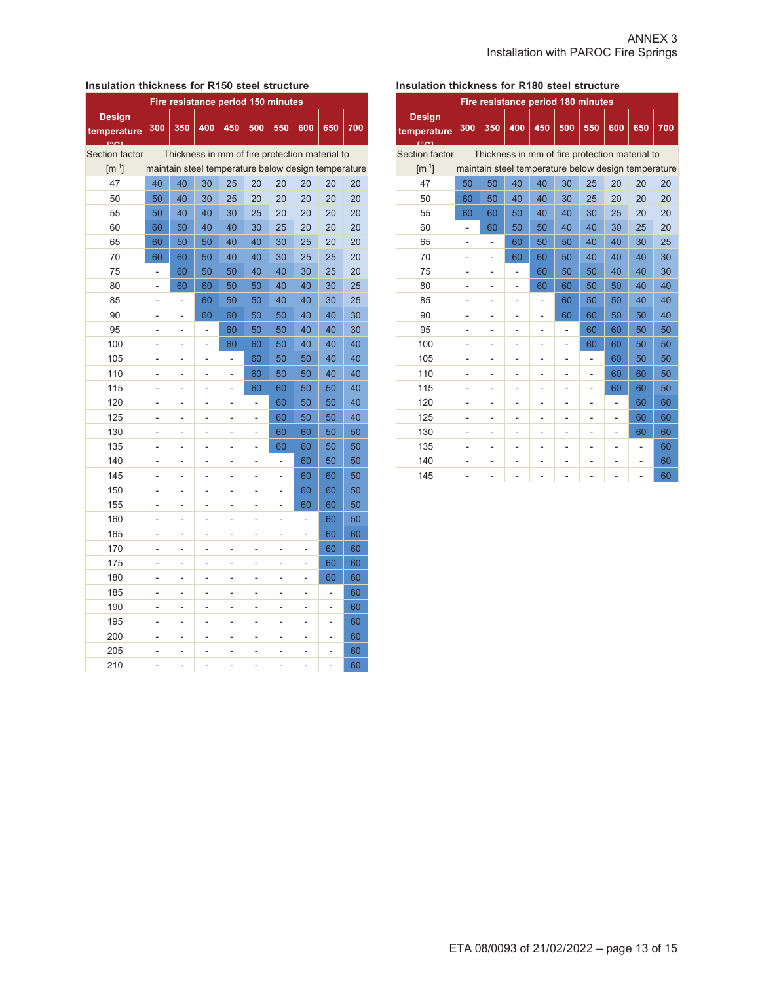#### **Insulation thickness for R150 steel structure**

| Fire resistance period 150 minutes |                          |                                                     |                |                                                |     |                |                |     |     |  |  |  |
|------------------------------------|--------------------------|-----------------------------------------------------|----------------|------------------------------------------------|-----|----------------|----------------|-----|-----|--|--|--|
| <b>Design</b><br>temperature       | 300                      | 350                                                 | 400            | 450                                            | 500 | 550            | 600            | 650 | 700 |  |  |  |
| Section factor                     |                          |                                                     |                | Thickness in mm of fire protection material to |     |                |                |     |     |  |  |  |
| $\lceil m^{-1} \rceil$             |                          | maintain steel temperature below design temperature |                |                                                |     |                |                |     |     |  |  |  |
| 47                                 | 40                       | 40                                                  | 30             | 25                                             | 20  | 20             | 20             | 20  | 20  |  |  |  |
| 50                                 | 50                       | 40                                                  | 30             | 25                                             | 20  | 20             | 20             | 20  | 20  |  |  |  |
| 55                                 | 50                       | 40                                                  | 40             | 30                                             | 25  | 20             | 20             | 20  | 20  |  |  |  |
| 60                                 | 60                       | 50                                                  | 40             | 40                                             | 30  | 25             | 20             | 20  | 20  |  |  |  |
| 65                                 | 60                       | 50                                                  | 50             | 40                                             | 40  | 30             | 25             | 20  | 20  |  |  |  |
| 70                                 | 60                       | 60                                                  | 50             | 40                                             | 40  | 30             | 25             | 25  | 20  |  |  |  |
| 75                                 | $\overline{a}$           | 60                                                  | 50             | 50                                             | 40  | 40             | 30             | 25  | 20  |  |  |  |
| 80                                 | ä,                       | 60                                                  | 60             | 50                                             | 50  | 40             | 40             | 30  | 25  |  |  |  |
| 85                                 | ÷,                       |                                                     | 60             | 50                                             | 50  | 40             | 40             | 30  | 25  |  |  |  |
| 90                                 | -                        | -                                                   | 60             | 60                                             | 50  | 50             | 40             | 40  | 30  |  |  |  |
| 95                                 | $\overline{a}$           | ÷,                                                  | ÷,             | 60                                             | 50  | 50             | 40             | 40  | 30  |  |  |  |
| 100                                | $\overline{a}$           | $\overline{\phantom{a}}$                            | ä,             | 60                                             | 60  | 50             | 40             | 40  | 40  |  |  |  |
| 105                                | -                        | -                                                   | -              | $\overline{\phantom{m}}$                       | 60  | 50             | 50             | 40  | 40  |  |  |  |
| 110                                | -                        | $\overline{\phantom{0}}$                            | -              | -                                              | 60  | 50             | 50             | 40  | 40  |  |  |  |
| 115                                | $\overline{a}$           | ÷,                                                  |                |                                                | 60  | 60             | 50             | 50  | 40  |  |  |  |
| 120                                |                          |                                                     |                |                                                | ÷,  | 60             | 50             | 50  | 40  |  |  |  |
| 125                                |                          | $\overline{a}$                                      | $\overline{a}$ | $\overline{\phantom{0}}$                       | ٠   | 60             | 50             | 50  | 40  |  |  |  |
| 130                                | -                        | -                                                   | -              | -                                              | -   | 60             | 60             | 50  | 50  |  |  |  |
| 135                                | $\overline{a}$           | -                                                   | L,             | ä,                                             | ä,  | 60             | 60             | 50  | 50  |  |  |  |
| 140                                | ÷,                       | $\qquad \qquad \blacksquare$                        |                | ÷,                                             | ÷,  | -              | 60             | 50  | 50  |  |  |  |
| 145                                | $\overline{\phantom{0}}$ | $\overline{a}$                                      | -              | $\overline{\phantom{0}}$                       | ٠   | -              | 60             | 60  | 50  |  |  |  |
| 150                                | -                        | $\overline{a}$                                      | ٠              | $\overline{a}$                                 | ۰   | -              | 60             | 60  | 50  |  |  |  |
| 155                                | -                        | -                                                   |                |                                                | ÷   | -              | 60             | 60  | 50  |  |  |  |
| 160                                | $\overline{a}$           | L                                                   |                |                                                | L   | L              | L,             | 60  | 50  |  |  |  |
| 165                                | ÷,                       | ÷,                                                  |                | ÷,                                             | ÷   |                | ÷,             | 60  | 60  |  |  |  |
| 170                                | -                        | -                                                   | $\overline{a}$ | -                                              | -   | -              | $\overline{a}$ | 60  | 60  |  |  |  |
| 175                                | -                        | -                                                   |                |                                                |     | -              |                | 60  | 60  |  |  |  |
| 180                                | $\overline{a}$           | ÷,                                                  | L              | ÷,                                             | ÷,  | $\overline{a}$ | $\overline{a}$ | 60  | 60  |  |  |  |
| 185                                | $\overline{\phantom{0}}$ | $\overline{\phantom{m}}$                            |                | ÷,                                             | ÷   |                | ÷,             | ÷,  | 60  |  |  |  |
| 190                                | -                        | -                                                   | $\overline{a}$ | -                                              | -   | -              | -              | -   | 60  |  |  |  |
| 195                                | -                        | -                                                   |                |                                                | ÷   | -              |                | ÷   | 60  |  |  |  |
| 200                                | L,                       | L                                                   |                |                                                |     | L              | L,             | L,  | 60  |  |  |  |
| 205                                |                          | -                                                   |                |                                                |     |                |                |     | 60  |  |  |  |
| 210                                |                          |                                                     |                |                                                |     |                |                |     | 60  |  |  |  |

## **Insulation thickness for R180 steel structure**

| Fire resistance period 180 minutes   |                                                |                                                     |                 |     |                |                |     |     |     |  |  |
|--------------------------------------|------------------------------------------------|-----------------------------------------------------|-----------------|-----|----------------|----------------|-----|-----|-----|--|--|
| <b>Design</b><br>temperature<br>1001 | 300                                            | 350                                                 | 400             | 450 | 500            | 550            | 600 | 650 | 700 |  |  |
| Section factor                       | Thickness in mm of fire protection material to |                                                     |                 |     |                |                |     |     |     |  |  |
| $\mathrm{[m^{-1}]}$                  |                                                | maintain steel temperature below design temperature |                 |     |                |                |     |     |     |  |  |
| 47                                   | 50                                             | 50                                                  | 40              | 40  | 30             | 25             | 20  | 20  | 20  |  |  |
| 50                                   | 60                                             | 50                                                  | 40              | 40  | 30             | 25             | 20  | 20  | 20  |  |  |
| 55                                   | 60                                             | 60                                                  | 50              | 40  | 40             | 30             | 25  | 20  | 20  |  |  |
| 60                                   | ۰                                              | 60                                                  | 50              | 50  | 40             | 40             | 30  | 25  | 20  |  |  |
| 65                                   | -                                              |                                                     | 60              | 50  | 50             | 40             | 40  | 30  | 25  |  |  |
| 70                                   |                                                |                                                     | 60              | 60  | 50             | 40             | 40  | 40  | 30  |  |  |
| 75                                   |                                                |                                                     |                 | 60  | 50             | 50             | 40  | 40  | 30  |  |  |
| 80                                   |                                                |                                                     | ۰               | 60  | 60             | 50             | 50  | 40  | 40  |  |  |
| 85                                   | ۰                                              | -                                                   | ۰               |     | 60             | 50             | 50  | 40  | 40  |  |  |
| 90                                   | -                                              | -                                                   | ٠               |     | 60             | 60             | 50  | 50  | 40  |  |  |
| 95                                   |                                                |                                                     |                 |     |                | 60             | 60  | 50  | 50  |  |  |
| 100                                  |                                                |                                                     |                 |     | -              | 60             | 60  | 50  | 50  |  |  |
| 105                                  | ٠                                              | -                                                   |                 |     | ٠              | ٠              | 60  | 50  | 50  |  |  |
| 110                                  | ٠                                              | ÷                                                   | -               | ÷,  | ۰              | $\overline{a}$ | 60  | 60  | 50  |  |  |
| 115                                  | ٠                                              | -                                                   | -               | -   | $\overline{a}$ | -              | 60  | 60  | 50  |  |  |
| 120                                  | -                                              |                                                     | ۰               |     | ۰              |                |     | 60  | 60  |  |  |
| 125                                  |                                                |                                                     |                 |     |                |                |     | 60  | 60  |  |  |
| 130                                  | ٠                                              |                                                     | ۰               |     |                | ۰              | -   | 60  | 60  |  |  |
| 135                                  | -                                              | ٠                                                   | $\qquad \qquad$ | -   | -              | -              | ۰   | ۰   | 60  |  |  |
| 140                                  | -                                              |                                                     |                 |     |                | ۰              |     |     | 60  |  |  |
| 145                                  |                                                |                                                     |                 |     |                |                |     |     | 60  |  |  |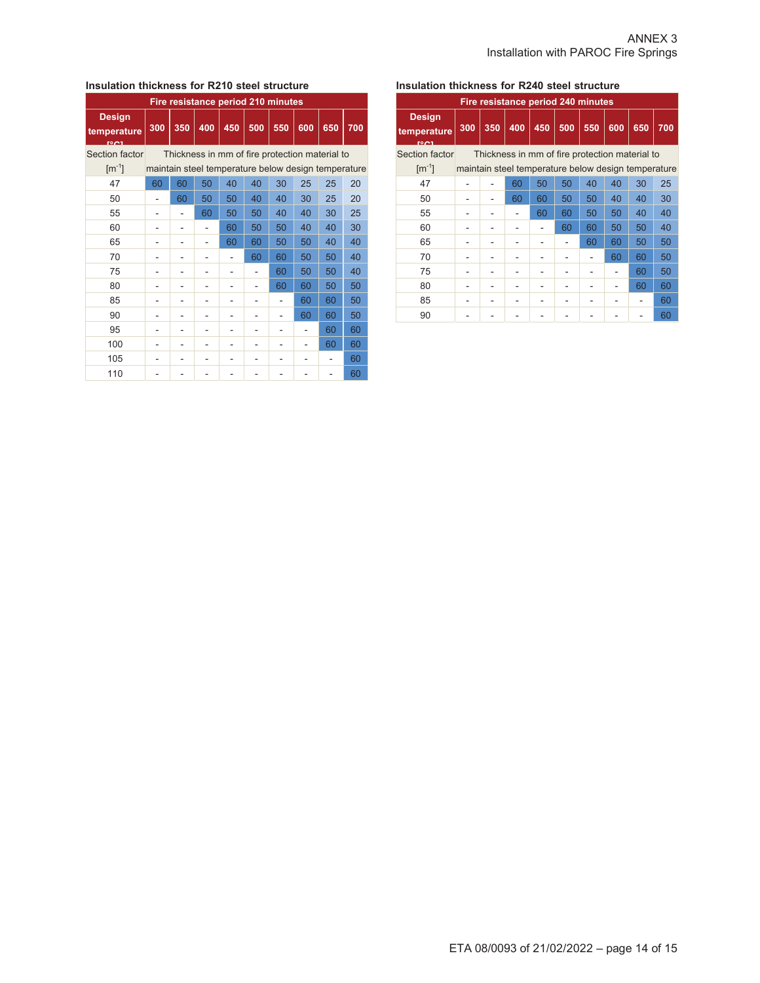## **Insulation thickness for R210 steel structure**

| Fire resistance period 210 minutes          |     |                                                     |     |     |     |     |     |     |     |  |  |
|---------------------------------------------|-----|-----------------------------------------------------|-----|-----|-----|-----|-----|-----|-----|--|--|
| <b>Design</b><br>temperature<br><b>FOOT</b> | 300 | 350                                                 | 400 | 450 | 500 | 550 | 600 | 650 | 700 |  |  |
| Section factor                              |     | Thickness in mm of fire protection material to      |     |     |     |     |     |     |     |  |  |
| $\mathrm{[m^{-1}]}$                         |     | maintain steel temperature below design temperature |     |     |     |     |     |     |     |  |  |
| 47                                          | 60  | 60                                                  | 50  | 40  | 40  | 30  | 25  | 25  | 20  |  |  |
| 50                                          |     | 60                                                  | 50  | 50  | 40  | 40  | 30  | 25  | 20  |  |  |
| 55                                          |     |                                                     | 60  | 50  | 50  | 40  | 40  | 30  | 25  |  |  |
| 60                                          |     |                                                     |     | 60  | 50  | 50  | 40  | 40  | 30  |  |  |
| 65                                          |     |                                                     |     | 60  | 60  | 50  | 50  | 40  | 40  |  |  |
| 70                                          |     |                                                     |     |     | 60  | 60  | 50  | 50  | 40  |  |  |
| 75                                          |     |                                                     |     |     |     | 60  | 50  | 50  | 40  |  |  |
| 80                                          |     |                                                     |     |     |     | 60  | 60  | 50  | 50  |  |  |
| 85                                          |     |                                                     |     |     |     |     | 60  | 60  | 50  |  |  |
| 90                                          |     |                                                     |     |     |     |     | 60  | 60  | 50  |  |  |
| 95                                          |     |                                                     |     |     |     |     |     | 60  | 60  |  |  |
| 100                                         |     |                                                     |     |     |     |     |     | 60  | 60  |  |  |
| 105                                         |     |                                                     |     |     |     |     |     |     | 60  |  |  |
| 110                                         |     |                                                     |     |     |     |     |     |     | 60  |  |  |

## **Insulation thickness for R240 steel structure**

| Fire resistance period 240 minutes          |     |                                                |     |              |     |     |     |                                                     |     |  |  |
|---------------------------------------------|-----|------------------------------------------------|-----|--------------|-----|-----|-----|-----------------------------------------------------|-----|--|--|
| <b>Design</b><br>temperature<br><b>FOOT</b> | 300 | 350                                            | 400 | $\sqrt{450}$ | 500 | 550 | 600 | 650                                                 | 700 |  |  |
| Section factor                              |     | Thickness in mm of fire protection material to |     |              |     |     |     |                                                     |     |  |  |
| $\lceil m^{-1} \rceil$                      |     |                                                |     |              |     |     |     | maintain steel temperature below design temperature |     |  |  |
| 47                                          |     |                                                | 60  | 50           | 50  | 40  | 40  | 30                                                  | 25  |  |  |
| 50                                          |     |                                                | 60  | 60           | 50  | 50  | 40  | 40                                                  | 30  |  |  |
| 55                                          |     |                                                |     | 60           | 60  | 50  | 50  | 40                                                  | 40  |  |  |
| 60                                          |     |                                                |     |              | 60  | 60  | 50  | 50                                                  | 40  |  |  |
| 65                                          |     |                                                |     |              |     | 60  | 60  | 50                                                  | 50  |  |  |
| 70                                          |     |                                                |     |              |     |     | 60  | 60                                                  | 50  |  |  |
| 75                                          |     |                                                |     |              |     |     |     | 60                                                  | 50  |  |  |
| 80                                          |     |                                                |     |              |     |     |     | 60                                                  | 60  |  |  |
| 85                                          |     |                                                |     |              |     |     |     |                                                     | 60  |  |  |
| 90                                          |     |                                                |     |              |     |     |     |                                                     | 60  |  |  |